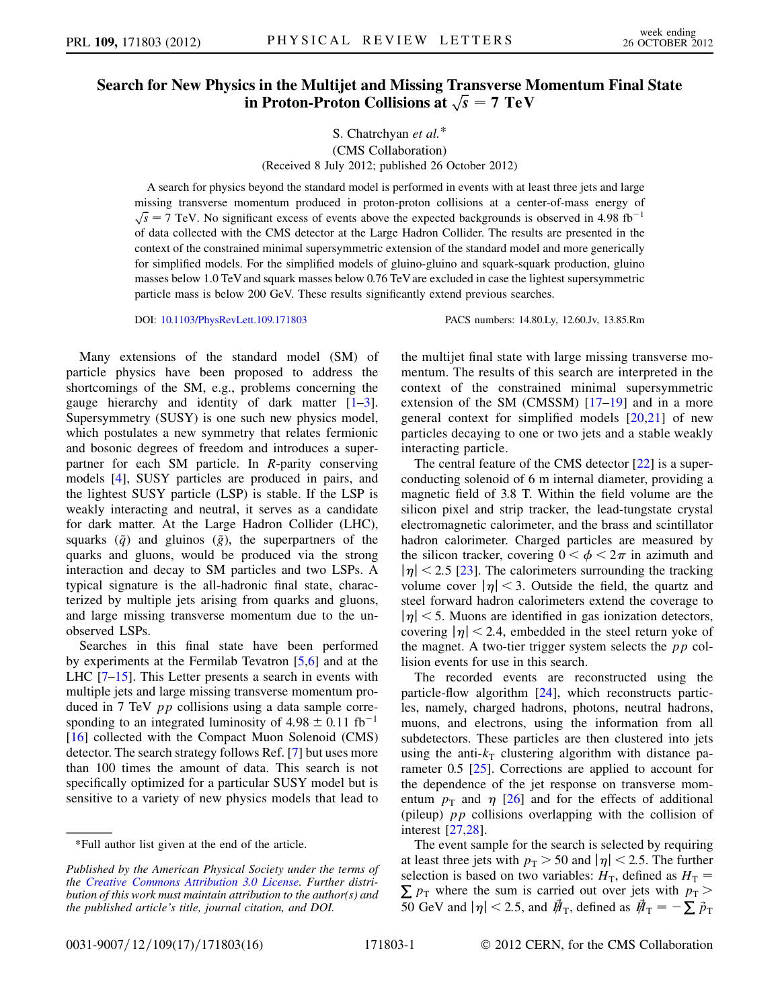# Search for New Physics in the Multijet and Missing Transverse Momentum Final State in Proton-Proton Collisions at  $\sqrt{s} = 7$  TeV

## S. Chatrchyan et al.\* (CMS Collaboration) (Received 8 July 2012; published 26 October 2012)

A search for physics beyond the standard model is performed in events with at least three jets and large missing transverse momentum produced in proton-proton collisions at a center-of-mass energy of  $\sqrt{s}$  = 7 TeV. No significant excess of events above the expected backgrounds is observed in 4.98 fb<sup>-1</sup> of data collected with the CMS detector at the Large Hadron Collider. The results are presented in the of data collected with the CMS detector at the Large Hadron Collider. The results are presented in the context of the constrained minimal supersymmetric extension of the standard model and more generically for simplified models. For the simplified models of gluino-gluino and squark-squark production, gluino masses below 1.0 TeV and squark masses below 0.76 TeV are excluded in case the lightest supersymmetric particle mass is below 200 GeV. These results significantly extend previous searches.

DOI: [10.1103/PhysRevLett.109.171803](http://dx.doi.org/10.1103/PhysRevLett.109.171803) PACS numbers: 14.80.Ly, 12.60.Jv, 13.85.Rm

Many extensions of the standard model (SM) of particle physics have been proposed to address the shortcomings of the SM, e.g., problems concerning the gauge hierarchy and identity of dark matter  $[1-3]$  $[1-3]$  $[1-3]$ . Supersymmetry (SUSY) is one such new physics model, which postulates a new symmetry that relates fermionic and bosonic degrees of freedom and introduces a superpartner for each SM particle. In R-parity conserving models [[4\]](#page-4-2), SUSY particles are produced in pairs, and the lightest SUSY particle (LSP) is stable. If the LSP is weakly interacting and neutral, it serves as a candidate for dark matter. At the Large Hadron Collider (LHC), squarks  $(\tilde{q})$  and gluinos  $(\tilde{g})$ , the superpartners of the quarks and gluons, would be produced via the strong interaction and decay to SM particles and two LSPs. A typical signature is the all-hadronic final state, characterized by multiple jets arising from quarks and gluons, and large missing transverse momentum due to the unobserved LSPs.

Searches in this final state have been performed by experiments at the Fermilab Tevatron [[5](#page-4-3),[6](#page-4-4)] and at the LHC [[7](#page-4-5)[–15\]](#page-4-6). This Letter presents a search in events with multiple jets and large missing transverse momentum produced in 7 TeV pp collisions using a data sample corresponding to an integrated luminosity of  $4.98 \pm 0.11$  fb<sup>-1</sup><br>[16] collected with the Compact Muon Solenoid (CMS) [\[16\]](#page-4-7) collected with the Compact Muon Solenoid (CMS) detector. The search strategy follows Ref. [\[7](#page-4-5)] but uses more than 100 times the amount of data. This search is not specifically optimized for a particular SUSY model but is sensitive to a variety of new physics models that lead to the multijet final state with large missing transverse momentum. The results of this search are interpreted in the context of the constrained minimal supersymmetric extension of the SM (CMSSM) [[17](#page-4-8)–[19](#page-4-9)] and in a more general context for simplified models  $[20,21]$  $[20,21]$  $[20,21]$  of new particles decaying to one or two jets and a stable weakly interacting particle.

The central feature of the CMS detector [\[22\]](#page-4-12) is a superconducting solenoid of 6 m internal diameter, providing a magnetic field of 3.8 T. Within the field volume are the silicon pixel and strip tracker, the lead-tungstate crystal electromagnetic calorimeter, and the brass and scintillator hadron calorimeter. Charged particles are measured by the silicon tracker, covering  $0 < \phi < 2\pi$  in azimuth and  $|n| < 2.5$  [23]. The calorimeters surrounding the tracking  $|\eta|$  < 2.5 [\[23\]](#page-4-13). The calorimeters surrounding the tracking volume cover  $|\eta| < 3$ . Outside the field, the quartz and steel forward hadron calorimeters extend the coverage to  $|\eta|$  < 5. Muons are identified in gas ionization detectors, covering  $|\eta|$  < 2.4, embedded in the steel return yoke of the magnet. A two-tier trigger system selects the  $pp$  collision events for use in this search.

The recorded events are reconstructed using the particle-flow algorithm [\[24\]](#page-4-14), which reconstructs particles, namely, charged hadrons, photons, neutral hadrons, muons, and electrons, using the information from all subdetectors. These particles are then clustered into jets using the anti- $k<sub>T</sub>$  clustering algorithm with distance parameter 0.5 [[25](#page-5-0)]. Corrections are applied to account for the dependence of the jet response on transverse momentum  $p_T$  and  $\eta$  [\[26\]](#page-5-1) and for the effects of additional (pileup)  $pp$  collisions overlapping with the collision of interest [\[27](#page-5-2)[,28\]](#page-5-3).

The event sample for the search is selected by requiring at least three jets with  $p_T > 50$  and  $|\eta| < 2.5$ . The further selection is based on two variables:  $H_T$ , defined as  $H_T$  $\sum p_{\text{T}}$  where the sum is carried out over jets with  $p_{\text{T}} >$ 50 GeV and  $|\eta|$  < 2.5, and  $\vec{\mu}_{\rm T}$ , defined as  $\vec{\mu}_{\rm T}=-\sum \vec{p}_{\rm T}$ 

<sup>\*</sup>Full author list given at the end of the article.

Published by the American Physical Society under the terms of the [Creative Commons Attribution 3.0 License.](http://link.aps.org/supplemental/10.1103/PhysRevLett.109.171803) Further distribution of this work must maintain attribution to the author(s) and the published article's title, journal citation, and DOI.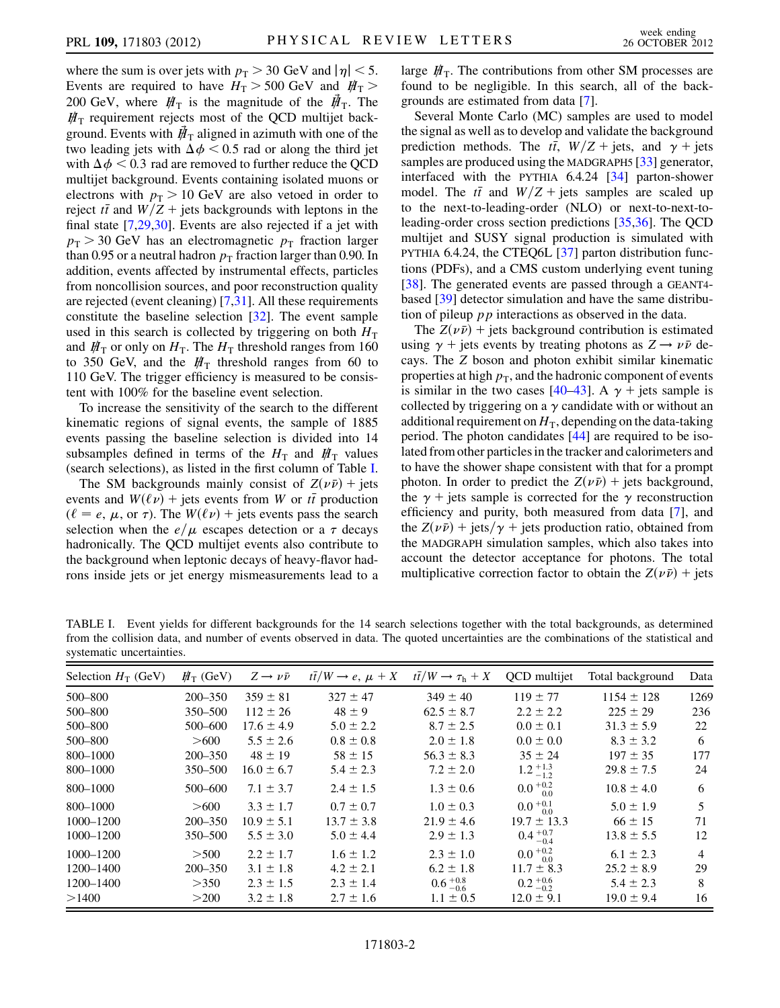where the sum is over jets with  $p_T > 30$  GeV and  $|\eta| < 5$ . Events are required to have  $H_T > 500$  GeV and  $H_T >$ 200 GeV, where  $H_T$  is the magnitude of the  $H_T$ . The  $H<sub>T</sub>$  requirement rejects most of the QCD multijet background. Events with  $\vec{H}_{\text{T}}$  aligned in azimuth with one of the two leading jets with  $\Delta \phi$  < 0.5 rad or along the third jet with  $\Delta \phi$  < 0.3 rad are removed to further reduce the QCD multijet background. Events containing isolated muons or electrons with  $p_T > 10$  GeV are also vetoed in order to reject  $t\bar{t}$  and  $W/Z +$  jets backgrounds with leptons in the<br>final state [7.29.30]. Events are also rejected if a jet with final state  $[7,29,30]$  $[7,29,30]$  $[7,29,30]$ . Events are also rejected if a jet with  $p_T > 30$  GeV has an electromagnetic  $p_T$  fraction larger than 0.95 or a neutral hadron  $p_T$  fraction larger than 0.90. In addition, events affected by instrumental effects, particles from noncollision sources, and poor reconstruction quality are rejected (event cleaning) [[7](#page-4-5),[31](#page-5-6)]. All these requirements constitute the baseline selection [[32](#page-5-7)]. The event sample used in this search is collected by triggering on both  $H<sub>T</sub>$ and  $H<sub>T</sub>$  or only on  $H<sub>T</sub>$ . The  $H<sub>T</sub>$  threshold ranges from 160 to 350 GeV, and the  $H_T$  threshold ranges from 60 to 110 GeV. The trigger efficiency is measured to be consistent with 100% for the baseline event selection.

To increase the sensitivity of the search to the different kinematic regions of signal events, the sample of 1885 events passing the baseline selection is divided into 14 subsamples defined in terms of the  $H<sub>T</sub>$  and  $H<sub>T</sub>$  values (search selections), as listed in the first column of Table [I](#page-1-0).

The SM backgrounds mainly consist of  $Z(\nu \bar{\nu})$  + jets<br>ents and  $W(\ell \nu)$  + jets events from W or  $t\bar{t}$  production events and  $W(\ell \nu)$  + jets events from W or the production<br>  $(\ell = e, \mu)$  or  $\tau$ ). The  $W(\ell \nu)$  + jets events pass the search  $(\ell = e, \mu, \text{ or } \tau)$ . The  $W(\ell \nu)$  + jets events pass the search selection when the  $e/\mu$  escapes detection or a  $\tau$  decays hadronically. The QCD multijet events also contribute to the background when leptonic decays of heavy-flavor hadrons inside jets or jet energy mismeasurements lead to a large  $H_T$ . The contributions from other SM processes are found to be negligible. In this search, all of the backgrounds are estimated from data [\[7\]](#page-4-5).

Several Monte Carlo (MC) samples are used to model the signal as well as to develop and validate the background prediction methods. The  $t\overline{t}$ ,  $W/Z + \text{jets}$ , and  $\gamma + \text{jets}$ <br>samples are produced using the MADGRAPH5 [33] generator samples are produced using the MADGRAPH5 [\[33\]](#page-5-8) generator, interfaced with the PYTHIA 6.4.24 [[34\]](#page-5-9) parton-shower model. The  $t\bar{t}$  and  $W/Z$  + jets samples are scaled up<br>to the next-to-leading-order (NI O) or next-to-next-toto the next-to-leading-order (NLO) or next-to-next-toleading-order cross section predictions [[35](#page-5-10),[36](#page-5-11)]. The QCD multijet and SUSY signal production is simulated with PYTHIA 6.4.24, the CTEQ6L [\[37\]](#page-5-12) parton distribution functions (PDFs), and a CMS custom underlying event tuning [\[38\]](#page-5-13). The generated events are passed through a GEANT4 based [[39](#page-5-14)] detector simulation and have the same distribution of pileup  $pp$  interactions as observed in the data.

The  $Z(\nu \bar{\nu}) +$  jets background contribution is estimated<br>ing  $\nu +$  jets events by treating photons as  $Z \rightarrow \nu \bar{\nu}$  deusing  $\gamma$  + jets events by treating photons as  $Z \rightarrow \nu \bar{\nu}$  de-<br>cavs. The Z boson and photon exhibit similar kinematic cays. The Z boson and photon exhibit similar kinematic properties at high  $p<sub>T</sub>$ , and the hadronic component of events is similar in the two cases [[40](#page-5-15)[–43\]](#page-5-16). A  $\gamma$  + jets sample is collected by triggering on a  $\gamma$  candidate with or without an additional requirement on  $H<sub>T</sub>$ , depending on the data-taking period. The photon candidates [[44](#page-5-17)] are required to be isolated from other particles in the tracker and calorimeters and to have the shower shape consistent with that for a prompt photon. In order to predict the  $Z(\nu \bar{\nu})$  + jets background,<br>the  $\nu$  + jets sample is corrected for the  $\nu$  reconstruction the  $\gamma$  + jets sample is corrected for the  $\gamma$  reconstruction efficiency and purity, both measured from data [\[7](#page-4-5)], and the  $Z(\nu \bar{\nu})$  + jets/ $\gamma$  + jets production ratio, obtained from<br>the MADGRAPH simulation samples, which also takes into the MADGRAPH simulation samples, which also takes into account the detector acceptance for photons. The total multiplicative correction factor to obtain the  $Z(\nu \bar{\nu})$  + jets

<span id="page-1-0"></span>TABLE I. Event yields for different backgrounds for the 14 search selections together with the total backgrounds, as determined from the collision data, and number of events observed in data. The quoted uncertainties are the combinations of the statistical and systematic uncertainties.

| Selection $H_T$ (GeV) | $H_T$ (GeV) | $Z \rightarrow \nu \bar{\nu}$ | $t\bar{t}/W \rightarrow e, \mu + X$ | $t\bar{t}/W \rightarrow \tau_{\rm h} + X$ | QCD multijet        | Total background | Data |
|-----------------------|-------------|-------------------------------|-------------------------------------|-------------------------------------------|---------------------|------------------|------|
| 500-800               | $200 - 350$ | $359 \pm 81$                  | $327 \pm 47$                        | $349 \pm 40$                              | $119 \pm 77$        | $1154 \pm 128$   | 1269 |
| 500-800               | 350–500     | $112 \pm 26$                  | $48 \pm 9$                          | $62.5 \pm 8.7$                            | $2.2 \pm 2.2$       | $225 \pm 29$     | 236  |
| 500-800               | 500-600     | $17.6 \pm 4.9$                | $5.0 \pm 2.2$                       | $8.7 \pm 2.5$                             | $0.0 \pm 0.1$       | $31.3 \pm 5.9$   | 22   |
| 500-800               | >600        | $5.5 \pm 2.6$                 | $0.8 \pm 0.8$                       | $2.0 \pm 1.8$                             | $0.0 \pm 0.0$       | $8.3 \pm 3.2$    | 6    |
| 800-1000              | $200 - 350$ | $48 \pm 19$                   | $58 \pm 15$                         | $56.3 \pm 8.3$                            | $35 \pm 24$         | $197 \pm 35$     | 177  |
| 800-1000              | 350–500     | $16.0 \pm 6.7$                | $5.4 \pm 2.3$                       | $7.2 \pm 2.0$                             | $1.2_{-1.2}^{+1.3}$ | $29.8 \pm 7.5$   | 24   |
| 800-1000              | 500-600     | $7.1 \pm 3.7$                 | $2.4 \pm 1.5$                       | $1.3 \pm 0.6$                             | $0.0_{0.0}^{+0.2}$  | $10.8 \pm 4.0$   | 6    |
| 800-1000              | >600        | $3.3 \pm 1.7$                 | $0.7 \pm 0.7$                       | $1.0 \pm 0.3$                             | $0.0_{ 0.0}^{+0.1}$ | $5.0 \pm 1.9$    | 5    |
| 1000-1200             | $200 - 350$ | $10.9 \pm 5.1$                | $13.7 \pm 3.8$                      | $21.9 \pm 4.6$                            | $19.7 \pm 13.3$     | $66 \pm 15$      | 71   |
| 1000-1200             | 350–500     | $5.5 \pm 3.0$                 | $5.0 \pm 4.4$                       | $2.9 \pm 1.3$                             | $0.4_{-0.4}^{+0.7}$ | $13.8 \pm 5.5$   | 12   |
| $1000 - 1200$         | >500        | $2.2 \pm 1.7$                 | $1.6 \pm 1.2$                       | $2.3 \pm 1.0$                             | $0.0_{0.0}^{+0.2}$  | $6.1 \pm 2.3$    | 4    |
| 1200-1400             | $200 - 350$ | $3.1 \pm 1.8$                 | $4.2 \pm 2.1$                       | $6.2 \pm 1.8$                             | $11.7 \pm 8.3$      | $25.2 \pm 8.9$   | 29   |
| 1200-1400             | >350        | $2.3 \pm 1.5$                 | $2.3 \pm 1.4$                       | $0.6^{+0.8}_{-0.6}$                       | $0.2^{+0.6}_{-0.2}$ | $5.4 \pm 2.3$    | 8    |
| >1400                 | >200        | $3.2 \pm 1.8$                 | $2.7 \pm 1.6$                       | $1.1 \pm 0.5$                             | $12.0 \pm 9.1$      | $19.0 \pm 9.4$   | 16   |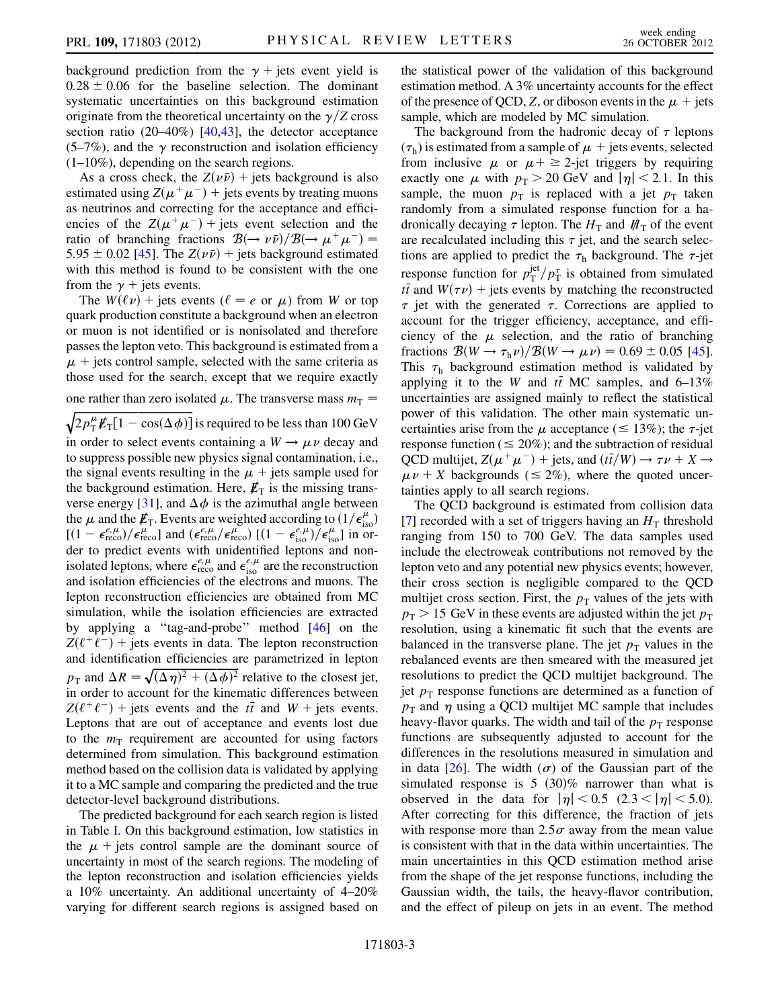background prediction from the  $\gamma$  + jets event yield is  $0.28 \pm 0.06$  for the baseline selection. The dominant<br>systematic uncertainties on this background estimation systematic uncertainties on this background estimation originate from the theoretical uncertainty on the  $\gamma$ /Z cross section ratio (20–40%) [\[40](#page-5-15)[,43\]](#page-5-16), the detector acceptance  $(5-7\%)$ , and the  $\gamma$  reconstruction and isolation efficiency  $(1-10\%)$ , depending on the search regions.

As a cross check, the  $Z(\nu \bar{\nu})$  + jets background is also<br>imated using  $Z(\nu^+ \nu^-)$  + jets events by treating muons estimated using  $Z(\mu^+\mu^-)$  + jets events by treating muons as neutrinos and correcting for the acceptance and efficiencies of the  $Z(\mu^+\mu^-)$  + jets event selection and the ratio of branching fractions  $\mathcal{B}(\rightarrow \nu \bar{\nu})/\mathcal{B}(\rightarrow \mu^{+} \mu^{-}) =$ <br>5.95 + 0.02.1451. The  $Z(\nu \bar{\nu})$  + jets background estimated  $5.95 \pm 0.02$  [[45\]](#page-5-18). The  $Z(\nu \bar{\nu})$  + jets background estimated<br>with this method is found to be consistent with the one with this method is found to be consistent with the one from the  $\gamma$  + jets events.

The  $W(\ell \nu)$  + jets events ( $\ell = e$  or  $\mu$ ) from W or top quark production constitute a background when an electron or muon is not identified or is nonisolated and therefore passes the lepton veto. This background is estimated from a  $\mu$  + jets control sample, selected with the same criteria as those used for the search, except that we require exactly

one rather than zero isolated  $\mu$ . The transverse mass  $m<sub>T</sub>$  =

 $\sqrt{2p_{\rm T}^{\mu}E_{\rm T}[1-\cos(\Delta\phi)]}$  is required to be less than 100 GeV<br>in order to solect synta containing a W<sub>1</sub> + was deed and in order to select events containing a  $W \rightarrow \mu \nu$  decay and to suppress possible new physics signal contamination, i.e., the signal events resulting in the  $\mu$  + jets sample used for the background estimation. Here,  $E_T$  is the missing trans-verse energy [\[31\]](#page-5-6), and  $\Delta \phi$  is the azimuthal angle between the  $\mu$  and the  $\not{E}_T$ . Events are weighted according to  $(1/\epsilon_{\rm iso}^{\mu})$ <br> $[(1-\epsilon^{\epsilon,\mu})/\epsilon^{\mu}]$  and  $(\epsilon^{\epsilon,\mu}/\epsilon^{\mu})$   $[(1-\epsilon^{\epsilon,\mu})/\epsilon^{\mu}]$  in or- $[(1 - \epsilon_{\text{reco}}^{\ell,\mu})/\epsilon_{\text{reco}}^{\mu}]$  and  $(\epsilon_{\text{reco}}^{\ell,\mu}/\epsilon_{\text{reco}}^{\mu})$   $[(1 - \epsilon_{\text{iso}}^{\ell,\mu})/\epsilon_{\text{iso}}^{\mu}]$  in or-<br>der to predict events with unidentified lentons and nonder to predict events with unidentified leptons and nonisolated leptons, where  $\epsilon_{\text{reco}}^{e^{\mu},\mu}$  and  $\epsilon_{\text{iso}}^{e^{\mu},\mu}$  are the reconstruction<br>and isolation efficiencies of the electrons and muons. The and isolation efficiencies of the electrons and muons. The lepton reconstruction efficiencies are obtained from MC simulation, while the isolation efficiencies are extracted by applying a ''tag-and-probe'' method [[46\]](#page-5-19) on the  $Z(\ell^+\ell^-)$  + jets events in data. The lepton reconstruction and identification efficiencies are parametrized in lepton  $p_{\text{T}}$  and  $\Delta R = \sqrt{(\Delta \eta)^2 + (\Delta \phi)^2}$  relative to the closest jet,<br>in order to account for the kinematic differences between in order to account for the kinematic differences between  $Z(\ell^+\ell^-)$  + jets events and the  $t\bar{t}$  and  $W$  + jets events.<br>Leptons that are out of acceptance and events lost due Leptons that are out of acceptance and events lost due to the  $m<sub>T</sub>$  requirement are accounted for using factors determined from simulation. This background estimation method based on the collision data is validated by applying it to a MC sample and comparing the predicted and the true detector-level background distributions.

The predicted background for each search region is listed in Table [I.](#page-1-0) On this background estimation, low statistics in the  $\mu$  + jets control sample are the dominant source of uncertainty in most of the search regions. The modeling of the lepton reconstruction and isolation efficiencies yields a 10% uncertainty. An additional uncertainty of 4–20% varying for different search regions is assigned based on the statistical power of the validation of this background estimation method. A 3% uncertainty accounts for the effect of the presence of QCD, Z, or diboson events in the  $\mu$  + jets sample, which are modeled by MC simulation.

The background from the hadronic decay of  $\tau$  leptons  $(\tau_h)$  is estimated from a sample of  $\mu$  + jets events, selected from inclusive  $\mu$  or  $\mu$ + ≥ 2-jet triggers by requiring exactly one  $\mu$  with  $p_T > 20$  GeV and  $|\eta| < 2.1$ . In this sample, the muon  $p<sub>T</sub>$  is replaced with a jet  $p<sub>T</sub>$  taken randomly from a simulated response function for a hadronically decaying  $\tau$  lepton. The  $H<sub>T</sub>$  and  $H<sub>T</sub>$  of the event are recalculated including this  $\tau$  jet, and the search selections are applied to predict the  $\tau_h$  background. The  $\tau$ -jet response function for  $p_{\text{T}}^{\text{jet}}/p_{\text{T}}^{\tau}$  is obtained from simulated<br>the and  $W(\tau v)$  + jets events by matching the reconstructed  $\tau$  jet with the generated  $\tau$ . Corrections are applied to account for the trigger efficiency acceptance and effi- $\overline{t}$  and  $W(\tau \nu)$  + jets events by matching the reconstructed<br>interview with the generated  $\tau$ . Corrections are applied to account for the trigger efficiency, acceptance, and efficiency of the  $\mu$  selection, and the ratio of branching fractions  $B(W \to \tau_h \nu)/B(W \to \mu \nu) = 0.69 \pm 0.05$  [[45\]](#page-5-18).<br>This  $\tau_s$  background estimation method is validated by This  $\tau_h$  background estimation method is validated by applying it to the W and  $t\bar{t}$  MC samples, and 6–13% uncertainties are assigned mainly to reflect the statistical uncertainties are assigned mainly to reflect the statistical power of this validation. The other main systematic uncertainties arise from the  $\mu$  acceptance ( $\leq 13\%$ ); the  $\tau$ -jet response function ( $\leq 20\%$ ); and the subtraction of residual QCD multijet,  $Z(\mu^+\mu^-)$  + jets, and  $(t\bar{t}/W) \rightarrow \tau \nu + X \rightarrow$ QCD multijet,  $Z(\mu^+\mu^-)$  + jets, and  $(t/N) \rightarrow \tau \nu + X \rightarrow \mu \nu + X$  backgrounds ( $\leq 2\%$ ), where the quoted uncertainties apply to all search regions tainties apply to all search regions.

The QCD background is estimated from collision data [\[7\]](#page-4-5) recorded with a set of triggers having an  $H<sub>T</sub>$  threshold ranging from 150 to 700 GeV. The data samples used include the electroweak contributions not removed by the lepton veto and any potential new physics events; however, their cross section is negligible compared to the QCD multijet cross section. First, the  $p<sub>T</sub>$  values of the jets with  $p_T > 15$  GeV in these events are adjusted within the jet  $p_T$ resolution, using a kinematic fit such that the events are balanced in the transverse plane. The jet  $p_T$  values in the rebalanced events are then smeared with the measured jet resolutions to predict the QCD multijet background. The jet  $p_T$  response functions are determined as a function of  $p_T$  and  $\eta$  using a QCD multijet MC sample that includes heavy-flavor quarks. The width and tail of the  $p_T$  response functions are subsequently adjusted to account for the differences in the resolutions measured in simulation and in data  $[26]$  $[26]$  $[26]$ . The width  $(\sigma)$  of the Gaussian part of the simulated response is  $5 \ (30)$ % narrower than what is observed in the data for  $|\eta| < 0.5$  (2.3  $< |\eta| < 5.0$ ). After correcting for this difference, the fraction of jets with response more than  $2.5\sigma$  away from the mean value is consistent with that in the data within uncertainties. The main uncertainties in this QCD estimation method arise from the shape of the jet response functions, including the Gaussian width, the tails, the heavy-flavor contribution, and the effect of pileup on jets in an event. The method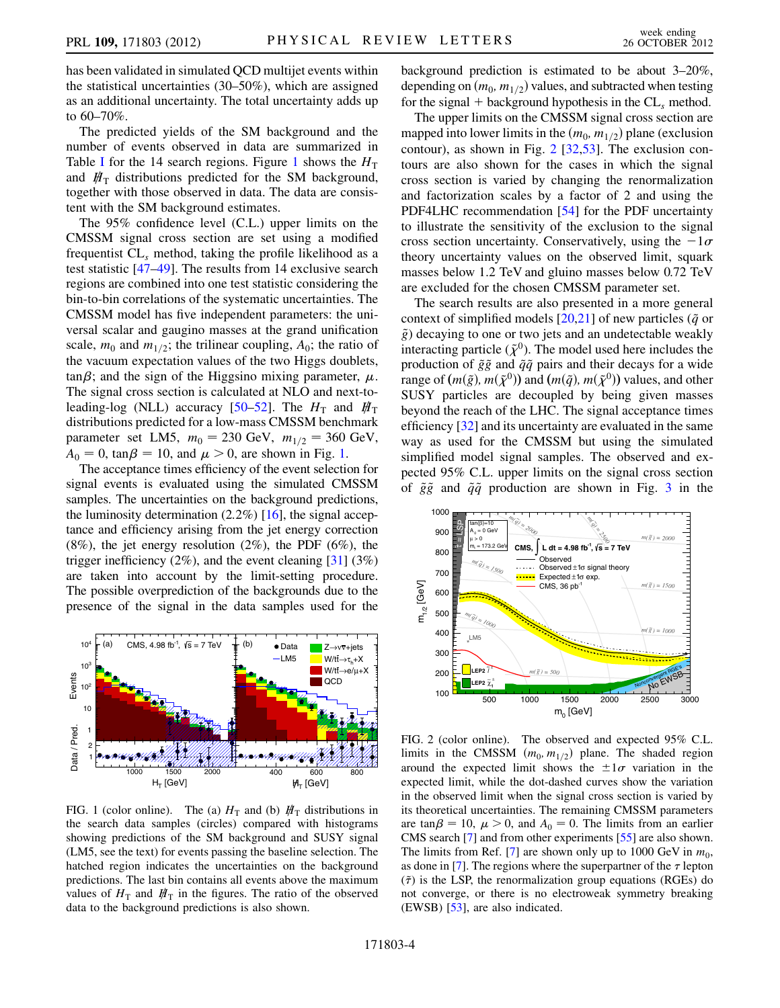has been validated in simulated QCD multijet events within the statistical uncertainties (30–50%), which are assigned as an additional uncertainty. The total uncertainty adds up to 60–70%.

The predicted yields of the SM background and the number of events observed in data are summarized in Table [I](#page-1-0) for the [1](#page-3-0)4 search regions. Figure 1 shows the  $H<sub>T</sub>$ and  $H_{\rm T}$  distributions predicted for the SM background, together with those observed in data. The data are consistent with the SM background estimates.

The 95% confidence level (C.L.) upper limits on the CMSSM signal cross section are set using a modified frequentist  $CL<sub>s</sub>$  method, taking the profile likelihood as a test statistic [[47](#page-5-20)[–49\]](#page-5-21). The results from 14 exclusive search regions are combined into one test statistic considering the bin-to-bin correlations of the systematic uncertainties. The CMSSM model has five independent parameters: the universal scalar and gaugino masses at the grand unification scale,  $m_0$  and  $m_{1/2}$ ; the trilinear coupling,  $A_0$ ; the ratio of the vacuum expectation values of the two Higgs doublets,  $\tan \beta$ ; and the sign of the Higgsino mixing parameter,  $\mu$ .<br>The signal cross section is calculated at NI O and next-to-The signal cross section is calculated at NLO and next-to-leading-log (NLL) accuracy [[50](#page-5-22)–[52](#page-5-23)]. The  $H<sub>T</sub>$  and  $H<sub>T</sub>$ distributions predicted for a low-mass CMSSM benchmark parameter set LM5,  $m_0 = 230 \text{ GeV}, m_{1/2} = 360 \text{ GeV},$  $\overline{A}_0 = 0$ , tan $\beta = 10$  $\beta = 10$  $\beta = 10$ , and  $\mu > 0$ , are shown in Fig. 1.<br>The acceptance times efficiency of the event selection

The acceptance times efficiency of the event selection for signal events is evaluated using the simulated CMSSM samples. The uncertainties on the background predictions, the luminosity determination  $(2.2\%)$  [[16\]](#page-4-7), the signal acceptance and efficiency arising from the jet energy correction  $(8\%)$ , the jet energy resolution  $(2\%)$ , the PDF  $(6\%)$ , the trigger inefficiency  $(2\%)$ , and the event cleaning  $[31]$  $[31]$   $(3\%)$ are taken into account by the limit-setting procedure. The possible overprediction of the backgrounds due to the presence of the signal in the data samples used for the

<span id="page-3-0"></span>

FIG. 1 (color online). The (a)  $H<sub>T</sub>$  and (b)  $H<sub>T</sub>$  distributions in the search data samples (circles) compared with histograms showing predictions of the SM background and SUSY signal (LM5, see the text) for events passing the baseline selection. The hatched region indicates the uncertainties on the background predictions. The last bin contains all events above the maximum values of  $H<sub>T</sub>$  and  $H<sub>T</sub>$  in the figures. The ratio of the observed data to the background predictions is also shown.

background prediction is estimated to be about 3–20%, depending on  $(m_0, m_{1/2})$  values, and subtracted when testing for the signal + background hypothesis in the  $CL<sub>s</sub>$  method.

The upper limits on the CMSSM signal cross section are mapped into lower limits in the  $(m_0, m_{1/2})$  plane (exclusion contour), as shown in Fig. [2](#page-3-1) [\[32](#page-5-7)[,53\]](#page-5-24). The exclusion contours are also shown for the cases in which the signal cross section is varied by changing the renormalization and factorization scales by a factor of 2 and using the PDF4LHC recommendation [\[54\]](#page-5-25) for the PDF uncertainty to illustrate the sensitivity of the exclusion to the signal cross section uncertainty. Conservatively, using the  $-1\sigma$ theory uncertainty values on the observed limit, squark masses below 1.2 TeV and gluino masses below 0.72 TeV are excluded for the chosen CMSSM parameter set.

The search results are also presented in a more general context of simplified models [[20,](#page-4-10)[21](#page-4-11)] of new particles ( $\tilde{q}$  or  $\tilde{g}$ ) decaying to one or two jets and an undetectable weakly interacting particle  $({\tilde{\chi}}^0)$ . The model used here includes the production of  $\tilde{g}\tilde{g}$  and  $\tilde{q}\tilde{q}$  pairs and their decays for a wide range of  $(m(\tilde{g}), m(\tilde{\chi}^0))$  and  $(m(\tilde{q}), m(\tilde{\chi}^0))$  values, and other SUSY particles are decoupled by being given masses beyond the reach of the LHC. The signal acceptance times efficiency [[32](#page-5-7)] and its uncertainty are evaluated in the same way as used for the CMSSM but using the simulated simplified model signal samples. The observed and expected 95% C.L. upper limits on the signal cross section of  $\tilde{g}\tilde{g}$  and  $\tilde{q}\tilde{q}$  production are shown in Fig. [3](#page-4-15) in the

<span id="page-3-1"></span>

FIG. 2 (color online). The observed and expected 95% C.L. limits in the CMSSM  $(m_0, m_{1/2})$  plane. The shaded region around the expected limit shows the  $\pm 1\sigma$  variation in the expected limit while the dot-dashed curves show the variation expected limit, while the dot-dashed curves show the variation in the observed limit when the signal cross section is varied by its theoretical uncertainties. The remaining CMSSM parameters are  $\tan \beta = 10$ ,  $\mu > 0$ , and  $A_0 = 0$ . The limits from an earlier<br>CMS search [7] and from other experiments [55] are also shown CMS search [[7\]](#page-4-5) and from other experiments [[55](#page-5-26)] are also shown. The limits from Ref. [\[7\]](#page-4-5) are shown only up to 1000 GeV in  $m_0$ , as done in [\[7\]](#page-4-5). The regions where the superpartner of the  $\tau$  lepton  $({\tilde{\tau}})$  is the LSP, the renormalization group equations (RGEs) do not converge, or there is no electroweak symmetry breaking (EWSB) [[53](#page-5-24)], are also indicated.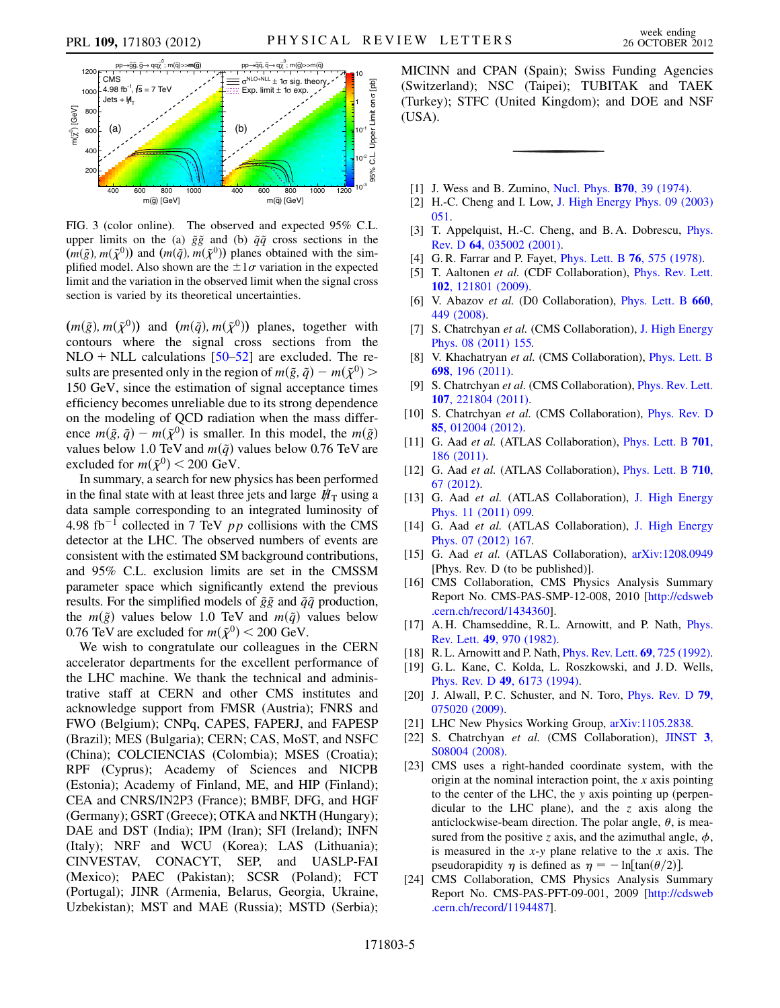<span id="page-4-15"></span>

FIG. 3 (color online). The observed and expected 95% C.L. upper limits on the (a)  $\tilde{g}\tilde{g}$  and (b)  $\tilde{q}\tilde{q}$  cross sections in the  $(m(\tilde{g}), m(\tilde{\chi}^0))$  and  $(m(\tilde{q}), m(\tilde{\chi}^0))$  planes obtained with the simplified model. Also shown are the  $\pm 1\sigma$  variation in the expected limit and the variation in the observed limit when the signal cross limit and the variation in the observed limit when the signal cross section is varied by its theoretical uncertainties.

 $(m(\tilde{g}), m(\tilde{\chi}^0))$  and  $(m(\tilde{q}), m(\tilde{\chi}^0))$  planes, together with contours where the signal cross sections from the NLO + NLL calculations  $[50-52]$  $[50-52]$  $[50-52]$  are excluded. The results are presented only in the region of  $m(\tilde{g}, \tilde{q}) - m(\tilde{\chi}^0)$ 150 GeV, since the estimation of signal acceptance times efficiency becomes unreliable due to its strong dependence on the modeling of QCD radiation when the mass difference  $m(\tilde{g}, \tilde{q}) - m(\tilde{\chi}^0)$  is smaller. In this model, the  $m(\tilde{g})$ values below 1.0 TeV and  $m(\tilde{q})$  values below 0.76 TeV are excluded for  $m(\tilde{\chi}^0)$  < 200 GeV.

In summary, a search for new physics has been performed in the final state with at least three jets and large  $H<sub>T</sub>$  using a data sample corresponding to an integrated luminosity of 4.98 fb<sup>-1</sup> collected in 7 TeV  $pp$  collisions with the CMS detector at the LHC. The observed numbers of events are consistent with the estimated SM background contributions, and 95% C.L. exclusion limits are set in the CMSSM parameter space which significantly extend the previous results. For the simplified models of  $\tilde{g}\tilde{g}$  and  $\tilde{q}\tilde{q}$  production, the  $m(\tilde{g})$  values below 1.0 TeV and  $m(\tilde{q})$  values below 0.76 TeV are excluded for  $m(\tilde{\chi}^0)$  < 200 GeV.

We wish to congratulate our colleagues in the CERN accelerator departments for the excellent performance of the LHC machine. We thank the technical and administrative staff at CERN and other CMS institutes and acknowledge support from FMSR (Austria); FNRS and FWO (Belgium); CNPq, CAPES, FAPERJ, and FAPESP (Brazil); MES (Bulgaria); CERN; CAS, MoST, and NSFC (China); COLCIENCIAS (Colombia); MSES (Croatia); RPF (Cyprus); Academy of Sciences and NICPB (Estonia); Academy of Finland, ME, and HIP (Finland); CEA and CNRS/IN2P3 (France); BMBF, DFG, and HGF (Germany); GSRT (Greece); OTKA and NKTH (Hungary); DAE and DST (India); IPM (Iran); SFI (Ireland); INFN (Italy); NRF and WCU (Korea); LAS (Lithuania); CINVESTAV, CONACYT, SEP, and UASLP-FAI (Mexico); PAEC (Pakistan); SCSR (Poland); FCT (Portugal); JINR (Armenia, Belarus, Georgia, Ukraine, Uzbekistan); MST and MAE (Russia); MSTD (Serbia); MICINN and CPAN (Spain); Swiss Funding Agencies (Switzerland); NSC (Taipei); TUBITAK and TAEK (Turkey); STFC (United Kingdom); and DOE and NSF (USA).

- <span id="page-4-0"></span>[1] J. Wess and B. Zumino, Nucl. Phys. **B70**, 39 (1974).
- <span id="page-4-1"></span>[2] H.-C. Cheng and I. Low, J. High Energy Phys. 09 (2003) 051.
- <span id="page-4-2"></span>[3] T. Appelquist, H.-C. Cheng, and B.A. Dobrescu, *Phys.* Rev. D 64, 035002 (2001).
- <span id="page-4-3"></span>[4] G. R. Farrar and P. Fayet, *Phys. Lett. B* **76**, 575 (1978).
- <span id="page-4-4"></span>[5] T. Aaltonen et al. (CDF Collaboration), Phys. Rev. Lett. 102, 121801 (2009).
- <span id="page-4-5"></span>[6] V. Abazov et al. (D0 Collaboration), Phys. Lett. B 660, 449 (2008).
- [7] S. Chatrchyan et al. (CMS Collaboration), J. High Energy Phys. 08 (2011) 155.
- [8] V. Khachatryan et al. (CMS Collaboration), *Phys. Lett. B* 698, 196 (2011).
- [9] S. Chatrchyan et al. (CMS Collaboration), *Phys. Rev. Lett.* 107, 221804 (2011).
- [10] S. Chatrchyan et al. (CMS Collaboration), Phys. Rev. D 85, 012004 (2012).
- [11] G. Aad et al. (ATLAS Collaboration), Phys. Lett. B 701, 186 (2011).
- [12] G. Aad et al. (ATLAS Collaboration), *Phys. Lett. B* 710, 67 (2012).
- [13] G. Aad et al. (ATLAS Collaboration), J. High Energy Phys. 11 (2011) 099.
- <span id="page-4-6"></span>[14] G. Aad et al. (ATLAS Collaboration), J. High Energy Phys. 07 (2012) 167.
- <span id="page-4-7"></span>[15] G. Aad et al. (ATLAS Collaboration),  $arXiv:1208.0949$ [Phys. Rev. D (to be published)].
- <span id="page-4-8"></span>[16] CMS Collaboration, CMS Physics Analysis Summary Report No. CMS-PAS-SMP-12-008, 2010 [http://cdsweb .cern.ch/record/1434360].
- [17] A. H. Chamseddine, R. L. Arnowitt, and P. Nath, *Phys.* Rev. Lett. 49, 970 (1982).
- <span id="page-4-9"></span>[18] R. L. Arnowitt and P. Nath, *Phys. Rev. Lett.* **69**, 725 (1992).
- <span id="page-4-10"></span>[19] G.L. Kane, C. Kolda, L. Roszkowski, and J.D. Wells, Phys. Rev. D 49, 6173 (1994).
- <span id="page-4-11"></span>[20] J. Alwall, P.C. Schuster, and N. Toro, *Phys. Rev. D* 79, 075020 (2009).
- <span id="page-4-12"></span>[21] LHC New Physics Working Group, arXiv:1105.2838.
- <span id="page-4-13"></span>[22] S. Chatrchyan et al. (CMS Collaboration), JINST 3, S08004 (2008).
- [23] CMS uses a right-handed coordinate system, with the origin at the nominal interaction point, the  $x$  axis pointing to the center of the LHC, the y axis pointing up (perpendicular to the LHC plane), and the  $z$  axis along the anticlockwise-beam direction. The polar angle,  $\theta$ , is measured from the positive z axis, and the azimuthal angle,  $\phi$ , is measured in the  $x-y$  plane relative to the  $x$  axis. The pseudorapidity  $\eta$  is defined as  $\eta = -\ln[\tan(\theta/2)]$ .
- <span id="page-4-14"></span>[24] CMS Collaboration, CMS Physics Analysis Summary Report No. CMS-PAS-PFT-09-001, 2009 [http://cdsweb .cern.ch/record/1194487].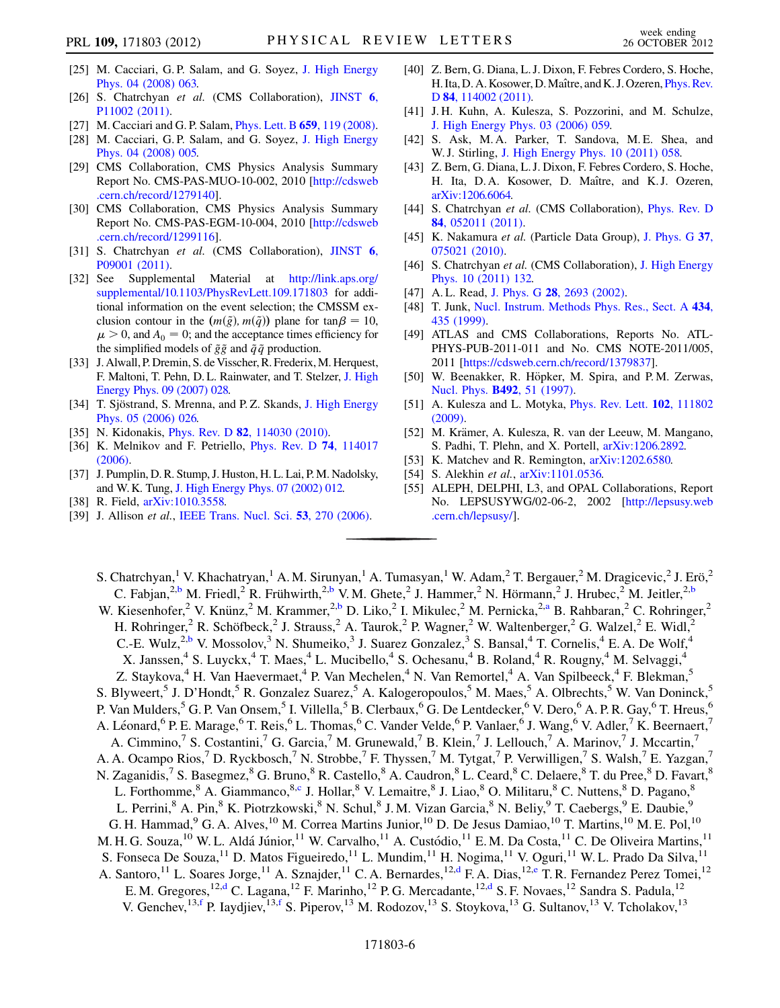- <span id="page-5-0"></span>[25] M. Cacciari, G.P. Salam, and G. Soyez, J. High Energy Phys. 04 (2008) 063.
- <span id="page-5-1"></span>[26] S. Chatrchyan et al. (CMS Collaboration), JINST 6, P11002 (2011).
- <span id="page-5-2"></span>[27] M. Cacciari and G. P. Salam, *Phys. Lett. B* **659**, 119 (2008).
- <span id="page-5-3"></span>[28] M. Cacciari, G. P. Salam, and G. Soyez, J. High Energy Phys. 04 (2008) 005.
- <span id="page-5-4"></span>[29] CMS Collaboration, CMS Physics Analysis Summary Report No. CMS-PAS-MUO-10-002, 2010 [http://cdsweb .cern.ch/record/1279140].
- <span id="page-5-5"></span>[30] CMS Collaboration, CMS Physics Analysis Summary Report No. CMS-PAS-EGM-10-004, 2010 [http://cdsweb .cern.ch/record/1299116].
- <span id="page-5-6"></span>[31] S. Chatrchyan et al. (CMS Collaboration), JINST 6, P09001 (2011).
- <span id="page-5-7"></span>[32] See Supplemental Material at [http://link.aps.org/](http://link.aps.org/supplemental/10.1103/PhysRevLett.109.171803) [supplemental/10.1103/PhysRevLett.109.171803](http://link.aps.org/supplemental/10.1103/PhysRevLett.109.171803) for additional information on the event selection; the CMSSM exclusion contour in the  $(m(\tilde{g}), m(\tilde{q}))$  plane for  $\tan \beta = 10$ ,<br>  $\mu > 0$ , and  $A_0 = 0$ ; and the acceptance times efficiency for  $\mu > 0$ , and  $A_0 = 0$ ; and the acceptance times efficiency for the simplified models of  $\tilde{g}\tilde{g}$  and  $\tilde{q}\tilde{q}$  production.
- <span id="page-5-8"></span>[33] J. Alwall, P. Dremin, S. de Visscher, R. Frederix, M. Herquest, F. Maltoni, T. Pehn, D. L. Rainwater, and T. Stelzer, J. High Energy Phys. 09 (2007) 028.
- <span id="page-5-9"></span>[34] T. Sjöstrand, S. Mrenna, and P.Z. Skands, J. High Energy Phys. 05 (2006) 026.
- <span id="page-5-10"></span>[35] N. Kidonakis, *Phys. Rev. D* **82**, 114030 (2010).
- <span id="page-5-11"></span>[36] K. Melnikov and F. Petriello, *Phys. Rev. D* **74**, 114017 (2006).
- <span id="page-5-12"></span>[37] J. Pumplin, D. R. Stump, J. Huston, H. L. Lai, P.M. Nadolsky, and W. K. Tung, J. High Energy Phys. 07 (2002) 012.
- <span id="page-5-13"></span>[38] R. Field, arXiv:1010.3558.
- <span id="page-5-14"></span>[39] J. Allison et al., IEEE Trans. Nucl. Sci. 53, 270 (2006).
- <span id="page-5-15"></span>[40] Z. Bern, G. Diana, L. J. Dixon, F. Febres Cordero, S. Hoche, H. Ita, D. A. Kosower, D. Maître, and K. J. Ozeren, *Phys. Rev.* D 84, 114002 (2011).
- [41] J. H. Kuhn, A. Kulesza, S. Pozzorini, and M. Schulze, J. High Energy Phys. 03 (2006) 059.
- [42] S. Ask, M. A. Parker, T. Sandova, M. E. Shea, and W. J. Stirling, J. High Energy Phys. 10 (2011) 058.
- <span id="page-5-16"></span>[43] Z. Bern, G. Diana, L. J. Dixon, F. Febres Cordero, S. Hoche, H. Ita, D.A. Kosower, D. Maître, and K.J. Ozeren, arXiv:1206.6064.
- <span id="page-5-17"></span>[44] S. Chatrchyan et al. (CMS Collaboration), Phys. Rev. D 84, 052011 (2011).
- <span id="page-5-18"></span>[45] K. Nakamura et al. (Particle Data Group), J. Phys. G 37, 075021 (2010).
- <span id="page-5-19"></span>[46] S. Chatrchyan et al. (CMS Collaboration), J. High Energy Phys. 10 (2011) 132.
- <span id="page-5-20"></span>[47] A.L. Read, J. Phys. G 28, 2693 (2002).
- [48] T. Junk, Nucl. Instrum. Methods Phys. Res., Sect. A 434, 435 (1999).
- <span id="page-5-21"></span>[49] ATLAS and CMS Collaborations, Reports No. ATL-PHYS-PUB-2011-011 and No. CMS NOTE-2011/005, 2011 [https://cdsweb.cern.ch/record/1379837].
- <span id="page-5-22"></span>[50] W. Beenakker, R. Höpker, M. Spira, and P.M. Zerwas, Nucl. Phys. B492, 51 (1997).
- [51] A. Kulesza and L. Motyka, *Phys. Rev. Lett.* **102**, 111802 (2009).
- <span id="page-5-23"></span>[52] M. Krämer, A. Kulesza, R. van der Leeuw, M. Mangano, S. Padhi, T. Plehn, and X. Portell, arXiv:1206.2892.
- <span id="page-5-24"></span>[53] K. Matchev and R. Remington, arXiv:1202.6580.
- <span id="page-5-25"></span>[54] S. Alekhin et al.,  $arXiv:1101.0536$ .
- <span id="page-5-26"></span>[55] ALEPH, DELPHI, L3, and OPAL Collaborations, Report No. LEPSUSYWG/02-06-2, 2002 [http://lepsusy.web .cern.ch/lepsusy/].

<span id="page-5-32"></span><span id="page-5-31"></span><span id="page-5-30"></span><span id="page-5-29"></span><span id="page-5-28"></span><span id="page-5-27"></span>S. Chatrchyan,<sup>1</sup> V. Khachatryan,<sup>1</sup> A. M. Sirunyan,<sup>1</sup> A. Tumasyan,<sup>1</sup> W. Adam,<sup>2</sup> T. Bergauer,<sup>2</sup> M. Dragicevic,<sup>2</sup> J. Erö,<sup>2</sup> C. Fabjan,<sup>2[,b](#page-14-0)</sup> M. Friedl,<sup>2</sup> R. Frühwirth,<sup>2,[b](#page-14-0)</sup> V. M. Ghete,<sup>2</sup> J. Hammer,<sup>2</sup> N. Hörmann,<sup>2</sup> J. Hrubec,<sup>2</sup> M. Jeitler,<sup>2,b</sup> W. Kiesenhofer,<sup>2</sup> V. Knünz,<sup>2</sup> M. Krammer,<sup>2[,b](#page-14-0)</sup> D. Liko,<sup>2</sup> I. Mikulec,<sup>2</sup> M. Pernicka,<sup>2[,a](#page-14-1)</sup> B. Rahbaran,<sup>2</sup> C. Rohringer,<sup>2</sup> H. Rohringer,<sup>2</sup> R. Schöfbeck,<sup>2</sup> J. Strauss,<sup>2</sup> A. Taurok,<sup>2</sup> P. Wagner,<sup>2</sup> W. Waltenberger,<sup>2</sup> G. Walzel,<sup>2</sup> E. Widl,<sup>2</sup> C.-E. Wulz,<sup>2,[b](#page-14-0)</sup> V. Mossolov,<sup>3</sup> N. Shumeiko,<sup>3</sup> J. Suarez Gonzalez,<sup>3</sup> S. Bansal,<sup>4</sup> T. Cornelis,<sup>4</sup> E. A. De Wolf,<sup>4</sup> X. Janssen,<sup>4</sup> S. Luyckx,<sup>4</sup> T. Maes,<sup>4</sup> L. Mucibello,<sup>4</sup> S. Ochesanu,<sup>4</sup> B. Roland,<sup>4</sup> R. Rougny,<sup>4</sup> M. Selvaggi,<sup>4</sup> Z. Staykova,<sup>4</sup> H. Van Haevermaet,<sup>4</sup> P. Van Mechelen,<sup>4</sup> N. Van Remortel,<sup>4</sup> A. Van Spilbeeck,<sup>4</sup> F. Blekman,<sup>5</sup> S. Blyweert,<sup>5</sup> J. D'Hondt,<sup>5</sup> R. Gonzalez Suarez,<sup>5</sup> A. Kalogeropoulos,<sup>5</sup> M. Maes,<sup>5</sup> A. Olbrechts,<sup>5</sup> W. Van Doninck,<sup>5</sup> P. Van Mulders,<sup>5</sup> G. P. Van Onsem,<sup>5</sup> I. Villella,<sup>5</sup> B. Clerbaux,<sup>6</sup> G. De Lentdecker,<sup>6</sup> V. Dero,<sup>6</sup> A. P. R. Gay,<sup>6</sup> T. Hreus,<sup>6</sup> A. Léonard,<sup>6</sup> P. E. Marage,<sup>6</sup> T. Reis,<sup>6</sup> L. Thomas,<sup>6</sup> C. Vander Velde,<sup>6</sup> P. Vanlaer,<sup>6</sup> J. Wang,<sup>6</sup> V. Adler,<sup>7</sup> K. Beernaert,<sup>7</sup> A. Cimmino,<sup>7</sup> S. Costantini,<sup>7</sup> G. Garcia,<sup>7</sup> M. Grunewald,<sup>7</sup> B. Klein,<sup>7</sup> J. Lellouch,<sup>7</sup> A. Marinov,<sup>7</sup> J. Mccartin,<sup>7</sup> A. A. Ocampo Rios,<sup>7</sup> D. Ryckbosch,<sup>7</sup> N. Strobbe,<sup>7</sup> F. Thyssen,<sup>7</sup> M. Tytgat,<sup>7</sup> P. Verwilligen,<sup>7</sup> S. Walsh,<sup>7</sup> E. Yazgan,<sup>7</sup> N. Zaganidis,<sup>7</sup> S. Basegmez, <sup>8</sup> G. Bruno, <sup>8</sup> R. Castello, <sup>8</sup> A. Caudron, <sup>8</sup> L. Ceard, <sup>8</sup> C. Delaere, <sup>8</sup> T. du Pree, <sup>8</sup> D. Favart, <sup>8</sup> L. Forthomme,<sup>8</sup> A. Giammanco, <sup>8[,c](#page-14-2)</sup> J. Hollar, <sup>8</sup> V. Lemaitre, <sup>8</sup> J. Liao, <sup>8</sup> O. Militaru, <sup>8</sup> C. Nuttens, <sup>8</sup> D. Pagano, <sup>8</sup> L. Perrini,<sup>8</sup> A. Pin,<sup>8</sup> K. Piotrzkowski,<sup>8</sup> N. Schul,<sup>8</sup> J. M. Vizan Garcia,<sup>8</sup> N. Beliy,<sup>9</sup> T. Caebergs,<sup>9</sup> E. Daubie,<sup>9</sup> G. H. Hammad, <sup>9</sup> G. A. Alves, <sup>10</sup> M. Correa Martins Junior, <sup>10</sup> D. De Jesus Damiao, <sup>10</sup> T. Martins, <sup>10</sup> M. E. Pol, <sup>10</sup> M. H. G. Souza,<sup>10</sup> W. L. Aldá Júnior,<sup>11</sup> W. Carvalho,<sup>11</sup> A. Custódio,<sup>11</sup> E. M. Da Costa,<sup>11</sup> C. De Oliveira Martins,<sup>11</sup> S. Fonseca De Souza,<sup>11</sup> D. Matos Figueiredo,<sup>11</sup> L. Mundim,<sup>11</sup> H. Nogima,<sup>11</sup> V. Oguri,<sup>11</sup> W. L. Prado Da Silva,<sup>11</sup> A. Santoro,<sup>11</sup> L. Soares Jorge,<sup>11</sup> A. Sznajder,<sup>11</sup> C. A. Bernardes,<sup>12[,d](#page-14-3)</sup> F. A. Dias,<sup>12[,e](#page-14-4)</sup> T. R. Fernandez Perez Tomei,<sup>12</sup> E. M. Gregores,<sup>12,[d](#page-14-3)</sup> C. Lagana,<sup>12</sup> F. Marinho,<sup>12</sup> P. G. Mercadante,<sup>12,d</sup> S. F. Novaes,<sup>12</sup> Sandra S. Padula,<sup>12</sup> V. Genchev, <sup>13,[f](#page-14-5)</sup> P. Iaydjiev, <sup>13,f</sup> S. Piperov, <sup>13</sup> M. Rodozov, <sup>13</sup> S. Stoykova, <sup>13</sup> G. Sultanov, <sup>13</sup> V. Tcholakov, <sup>13</sup>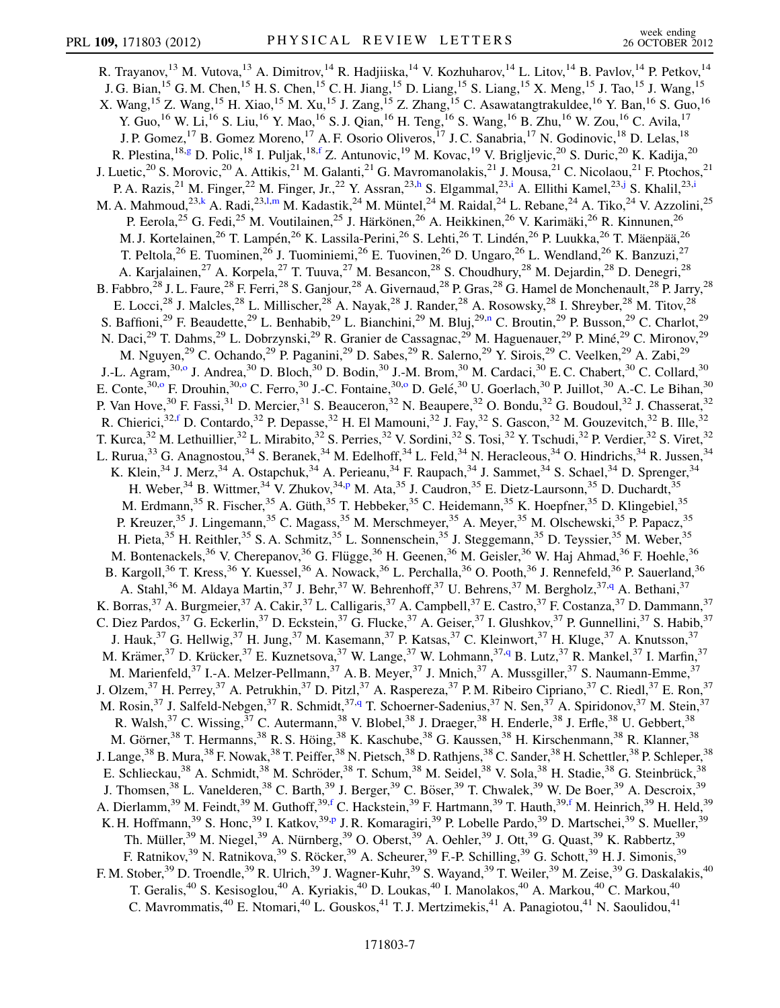<span id="page-6-6"></span><span id="page-6-5"></span><span id="page-6-4"></span><span id="page-6-3"></span><span id="page-6-2"></span><span id="page-6-1"></span><span id="page-6-0"></span>R. Trayanov,<sup>13</sup> M. Vutova,<sup>13</sup> A. Dimitrov,<sup>14</sup> R. Hadjiiska,<sup>14</sup> V. Kozhuharov,<sup>14</sup> L. Litov,<sup>14</sup> B. Pavlov,<sup>14</sup> P. Petkov,<sup>14</sup> J. G. Bian,<sup>15</sup> G. M. Chen,<sup>15</sup> H. S. Chen,<sup>15</sup> C. H. Jiang,<sup>15</sup> D. Liang,<sup>15</sup> S. Liang,<sup>15</sup> X. Meng,<sup>15</sup> J. Tao,<sup>15</sup> J. Wang,<sup>15</sup> X. Wang, <sup>15</sup> Z. Wang, <sup>15</sup> H. Xiao, <sup>15</sup> M. Xu, <sup>15</sup> J. Zang, <sup>15</sup> Z. Zhang, <sup>15</sup> C. Asawatangtrakuldee, <sup>16</sup> Y. Ban, <sup>16</sup> S. Guo, <sup>16</sup> Y. Guo,<sup>16</sup> W. Li,<sup>16</sup> S. Liu,<sup>16</sup> Y. Mao,<sup>16</sup> S. J. Qian,<sup>16</sup> H. Teng,<sup>16</sup> S. Wang,<sup>16</sup> B. Zhu,<sup>16</sup> W. Zou,<sup>16</sup> C. Avila,<sup>17</sup> J. P. Gomez,<sup>17</sup> B. Gomez Moreno,<sup>17</sup> A. F. Osorio Oliveros,<sup>17</sup> J. C. Sanabria,<sup>17</sup> N. Godinovic,<sup>18</sup> D. Lelas,<sup>18</sup> R. Plestina,<sup>18[,g](#page-14-6)</sup> D. Polic,<sup>18</sup> I. Puljak,<sup>18,[f](#page-14-5)</sup> Z. Antunovic,<sup>19</sup> M. Kovac,<sup>19</sup> V. Brigljevic,<sup>20</sup> S. Duric,<sup>20</sup> K. Kadija,<sup>20</sup> J. Luetic,<sup>20</sup> S. Morovic,<sup>20</sup> A. Attikis,<sup>21</sup> M. Galanti,<sup>21</sup> G. Mavromanolakis,<sup>21</sup> J. Mousa,<sup>21</sup> C. Nicolaou,<sup>21</sup> F. Ptochos,<sup>21</sup> P. A. Razis,<sup>21</sup> M. Finger,<sup>22</sup> M. Finger, Jr.,<sup>22</sup> Y. Assran,<sup>23[,h](#page-14-7)</sup> S. Elgammal,<sup>23[,i](#page-14-8)</sup> A. Ellithi Kamel,<sup>23[,j](#page-14-9)</sup> S. Khal[i](#page-14-8)l,<sup>23,i</sup> M. A. Mahmoud,<sup>23,[k](#page-14-10)</sup> A. Radi,<sup>23[,l](#page-14-11)[,m](#page-14-12)</sup> M. Kadastik,<sup>24</sup> M. Müntel,<sup>24</sup> M. Raidal,<sup>24</sup> L. Rebane,<sup>24</sup> A. Tiko,<sup>24</sup> V. Azzolini,<sup>25</sup> P. Eerola,<sup>25</sup> G. Fedi,<sup>25</sup> M. Voutilainen,<sup>25</sup> J. Härkönen,<sup>26</sup> A. Heikkinen,<sup>26</sup> V. Karimäki,<sup>26</sup> R. Kinnunen,<sup>26</sup> M. J. Kortelainen,<sup>26</sup> T. Lampén,<sup>26</sup> K. Lassila-Perini,<sup>26</sup> S. Lehti,<sup>26</sup> T. Lindén,<sup>26</sup> P. Luukka,<sup>26</sup> T. Mäenpää,<sup>26</sup> T. Peltola,<sup>26</sup> E. Tuominen,<sup>26</sup> J. Tuominiemi,<sup>26</sup> E. Tuovinen,<sup>26</sup> D. Ungaro,<sup>26</sup> L. Wendland,<sup>26</sup> K. Banzuzi,<sup>27</sup> A. Karjalainen,<sup>27</sup> A. Korpela,<sup>27</sup> T. Tuuva,<sup>27</sup> M. Besancon,<sup>28</sup> S. Choudhury,<sup>28</sup> M. Dejardin,<sup>28</sup> D. Denegri,<sup>28</sup> B. Fabbro,<sup>28</sup> J. L. Faure,<sup>28</sup> F. Ferri,<sup>28</sup> S. Ganjour,<sup>28</sup> A. Givernaud,<sup>28</sup> P. Gras,<sup>28</sup> G. Hamel de Monchenault,<sup>28</sup> P. Jarry,<sup>28</sup> E. Locci,  $28$  J. Malcles,  $28$  L. Millischer,  $28$  A. Nayak,  $28$  J. Rander,  $28$  A. Rosowsky,  $28$  I. Shreyber,  $28$  M. Titov,  $28$ S. Baffioni,<sup>29</sup> F. Beaudette,<sup>29</sup> L. Benhabib,<sup>29</sup> L. Bianchini,<sup>29</sup> M. Bluj,<sup>29[,n](#page-14-13)</sup> C. Broutin,<sup>29</sup> P. Busson,<sup>29</sup> C. Charlot,<sup>29</sup> N. Daci,<sup>29</sup> T. Dahms,<sup>29</sup> L. Dobrzynski,<sup>29</sup> R. Granier de Cassagnac,<sup>29</sup> M. Haguenauer,<sup>29</sup> P. Miné,<sup>29</sup> C. Mironov,<sup>29</sup> M. Nguyen,<sup>29</sup> C. Ochando,<sup>29</sup> P. Paganini,<sup>29</sup> D. Sabes,<sup>29</sup> R. Salerno,<sup>29</sup> Y. Sirois,<sup>29</sup> C. Veelken,<sup>29</sup> A. Zabi,<sup>29</sup> J.-L. Agram,<sup>30[,o](#page-14-14)</sup> J. Andrea,<sup>30</sup> D. Bloch,<sup>30</sup> D. Bodin,<sup>30</sup> J.-M. Brom,<sup>30</sup> M. Cardaci,<sup>30</sup> E.C. Chabert,<sup>30</sup> C. Collard,<sup>30</sup> E. C[o](#page-14-14)nte,  $30,0$  F. Drouhin,  $30,0$  C. Ferro,  $30$  J.-C. Fontaine,  $30,0$  D. Gelé,  $30$  U. Goerlach,  $30$  P. Juillot,  $30$  A.-C. Le Bihan,  $30$ P. Van Hove,<sup>30</sup> F. Fassi,<sup>31</sup> D. Mercier,<sup>31</sup> S. Beauceron,<sup>32</sup> N. Beaupere,<sup>32</sup> O. Bondu,<sup>32</sup> G. Boudoul,<sup>32</sup> J. Chasserat,<sup>32</sup> R. Chierici,<sup>32,[f](#page-14-5)</sup> D. Contardo,<sup>32</sup> P. Depasse,<sup>32</sup> H. El Mamouni,<sup>32</sup> J. Fay,<sup>32</sup> S. Gascon,<sup>32</sup> M. Gouzevitch,<sup>32</sup> B. Ille,<sup>32</sup> T. Kurca,<sup>32</sup> M. Lethuillier,<sup>32</sup> L. Mirabito,<sup>32</sup> S. Perries,<sup>32</sup> V. Sordini,<sup>32</sup> S. Tosi,<sup>32</sup> Y. Tschudi,<sup>32</sup> P. Verdier,<sup>32</sup> S. Viret,<sup>32</sup> L. Rurua,  $33$  G. Anagnostou,  $34$  S. Beranek,  $34$  M. Edelhoff,  $34$  L. Feld,  $34$  N. Heracleous,  $34$  O. Hindrichs,  $34$  R. Jussen,  $34$ K. Klein,<sup>34</sup> J. Merz,<sup>34</sup> A. Ostapchuk,<sup>34</sup> A. Perieanu,<sup>34</sup> F. Raupach,<sup>34</sup> J. Sammet,<sup>34</sup> S. Schael,<sup>34</sup> D. Sprenger,<sup>34</sup> H. Weber,  $34$  B. Wittmer,  $34$  V. Zhukov,  $34,p$  $34,p$  M. Ata,  $35$  J. Caudron,  $35$  E. Dietz-Laursonn,  $35$  D. Duchardt,  $35$ M. Erdmann,<sup>35</sup> R. Fischer,<sup>35</sup> A. Güth,<sup>35</sup> T. Hebbeker,<sup>35</sup> C. Heidemann,<sup>35</sup> K. Hoepfner,<sup>35</sup> D. Klingebiel,<sup>35</sup> P. Kreuzer,<sup>35</sup> J. Lingemann,<sup>35</sup> C. Magass,<sup>35</sup> M. Merschmeyer,<sup>35</sup> A. Meyer,<sup>35</sup> M. Olschewski,<sup>35</sup> P. Papacz,<sup>35</sup> H. Pieta,<sup>35</sup> H. Reithler,<sup>35</sup> S. A. Schmitz,<sup>35</sup> L. Sonnenschein,<sup>35</sup> J. Steggemann,<sup>35</sup> D. Teyssier,<sup>35</sup> M. Weber,<sup>35</sup> M. Bontenackels,<sup>36</sup> V. Cherepanov,<sup>36</sup> G. Flügge,<sup>36</sup> H. Geenen,<sup>36</sup> M. Geisler,<sup>36</sup> W. Haj Ahmad,<sup>36</sup> F. Hoehle,<sup>36</sup> B. Kargoll,<sup>36</sup> T. Kress,<sup>36</sup> Y. Kuessel,<sup>36</sup> A. Nowack,<sup>36</sup> L. Perchalla,<sup>36</sup> O. Pooth,<sup>36</sup> J. Rennefeld,<sup>36</sup> P. Sauerland,<sup>36</sup> A. Stahl,<sup>36</sup> M. Aldaya Martin,<sup>37</sup> J. Behr,<sup>37</sup> W. Behrenhoff,<sup>37</sup> U. Behrens,<sup>37</sup> M. Bergholz,<sup>37[,q](#page-14-16)</sup> A. Bethani,<sup>37</sup> K. Borras,<sup>37</sup> A. Burgmeier,<sup>37</sup> A. Cakir,<sup>37</sup> L. Calligaris,<sup>37</sup> A. Campbell,<sup>37</sup> E. Castro,<sup>37</sup> F. Costanza,<sup>37</sup> D. Dammann,<sup>37</sup> C. Diez Pardos, <sup>37</sup> G. Eckerlin, <sup>37</sup> D. Eckstein, <sup>37</sup> G. Flucke, <sup>37</sup> A. Geiser, <sup>37</sup> I. Glushkov, <sup>37</sup> P. Gunnellini, <sup>37</sup> S. Habib, <sup>37</sup> J. Hauk,<sup>37</sup> G. Hellwig,<sup>37</sup> H. Jung,<sup>37</sup> M. Kasemann,<sup>37</sup> P. Katsas,<sup>37</sup> C. Kleinwort,<sup>37</sup> H. Kluge,<sup>37</sup> A. Knutsson,<sup>37</sup> M. Krämer,<sup>37</sup> D. Krücker,<sup>37</sup> E. Kuznetsova,<sup>37</sup> W. Lange,<sup>37</sup> W. Lohmann,<sup>37[,q](#page-14-16)</sup> B. Lutz,<sup>37</sup> R. Mankel,<sup>37</sup> I. Marfin,<sup>37</sup> M. Marienfeld,<sup>37</sup> I.-A. Melzer-Pellmann,<sup>37</sup> A. B. Meyer,<sup>37</sup> J. Mnich,<sup>37</sup> A. Mussgiller,<sup>37</sup> S. Naumann-Emme,<sup>37</sup> J. Olzem,<sup>37</sup> H. Perrey,<sup>37</sup> A. Petrukhin,<sup>37</sup> D. Pitzl,<sup>37</sup> A. Raspereza,<sup>37</sup> P. M. Ribeiro Cipriano,<sup>37</sup> C. Riedl,<sup>37</sup> E. Ron,<sup>37</sup> M. Rosin,<sup>37</sup> J. Salfeld-Nebgen,<sup>37</sup> R. Schmidt,<sup>37[,q](#page-14-16)</sup> T. Schoerner-Sadenius,<sup>37</sup> N. Sen,<sup>37</sup> A. Spiridonov,<sup>37</sup> M. Stein,<sup>37</sup> R. Walsh,<sup>37</sup> C. Wissing,  $37 \text{ C}$ . Autermann,  $38 \text{ V}$ . Blobel,  $38 \text{ J}$ . Draeger,  $38 \text{ H}$ . Enderle,  $38 \text{ J}$ . Erfle,  $38 \text{ U}$ . Gebbert,  $38 \text{ V}$ M. Görner,<sup>38</sup> T. Hermanns,<sup>38</sup> R. S. Höing,<sup>38</sup> K. Kaschube,<sup>38</sup> G. Kaussen,<sup>38</sup> H. Kirschenmann,<sup>38</sup> R. Klanner,<sup>38</sup> J. Lange,<sup>38</sup> B. Mura,<sup>38</sup> F. Nowak,<sup>38</sup> T. Peiffer,<sup>38</sup> N. Pietsch,<sup>38</sup> D. Rathjens,<sup>38</sup> C. Sander,<sup>38</sup> H. Schettler,<sup>38</sup> P. Schleper,<sup>38</sup> E. Schlieckau,<sup>38</sup> A. Schmidt,<sup>38</sup> M. Schröder,<sup>38</sup> T. Schum,<sup>38</sup> M. Seidel,<sup>38</sup> V. Sola,<sup>38</sup> H. Stadie,<sup>38</sup> G. Steinbrück,<sup>38</sup> J. Thomsen,<sup>38</sup> L. Vanelderen,<sup>38</sup> C. Barth,<sup>39</sup> J. Berger,<sup>39</sup> C. Böser,<sup>39</sup> T. Chwalek,<sup>39</sup> W. De Boer,<sup>39</sup> A. Descroix,<sup>39</sup> A. Dierlamm,<sup>39</sup> M. Feindt,<sup>39</sup> M. Guthoff,<sup>39[,f](#page-14-5)</sup> C. Hackstein,<sup>39</sup> F. Hartmann,<sup>39</sup> T. Hauth,<sup>39,f</sup> M. Heinrich,<sup>39</sup> H. Held,<sup>39</sup> K. H. Hoffmann,<sup>39</sup> S. Honc,<sup>39</sup> I. Katkov,<sup>39[,p](#page-14-15)</sup> J. R. Komaragiri,<sup>39</sup> P. Lobelle Pardo,<sup>39</sup> D. Martschei,<sup>39</sup> S. Mueller,<sup>39</sup> Th. Müller,<sup>39</sup> M. Niegel,<sup>39</sup> A. Nürnberg,<sup>39</sup> O. Oberst,<sup>39</sup> A. Oehler,<sup>39</sup> J. Ott,<sup>39</sup> G. Quast,<sup>39</sup> K. Rabbertz,<sup>39</sup> F. Ratnikov,<sup>39</sup> N. Ratnikova,<sup>39</sup> S. Röcker,<sup>39</sup> A. Scheurer,<sup>39</sup> F.-P. Schilling,<sup>39</sup> G. Schott,<sup>39</sup> H. J. Simonis,<sup>39</sup> F. M. Stober,<sup>39</sup> D. Troendle,<sup>39</sup> R. Ulrich,<sup>39</sup> J. Wagner-Kuhr,<sup>39</sup> S. Wayand,<sup>39</sup> T. Weiler,<sup>39</sup> M. Zeise,<sup>39</sup> G. Daskalakis,<sup>40</sup> T. Geralis,<sup>40</sup> S. Kesisoglou,<sup>40</sup> A. Kyriakis,<sup>40</sup> D. Loukas,<sup>40</sup> I. Manolakos,<sup>40</sup> A. Markou,<sup>40</sup> C. Markou,<sup>40</sup> C. Mavrommatis,  $^{40}$  E. Ntomari,  $^{40}$  L. Gouskos,  $^{41}$  T. J. Mertzimekis,  $^{41}$  A. Panagiotou,  $^{41}$  N. Saoulidou,  $^{41}$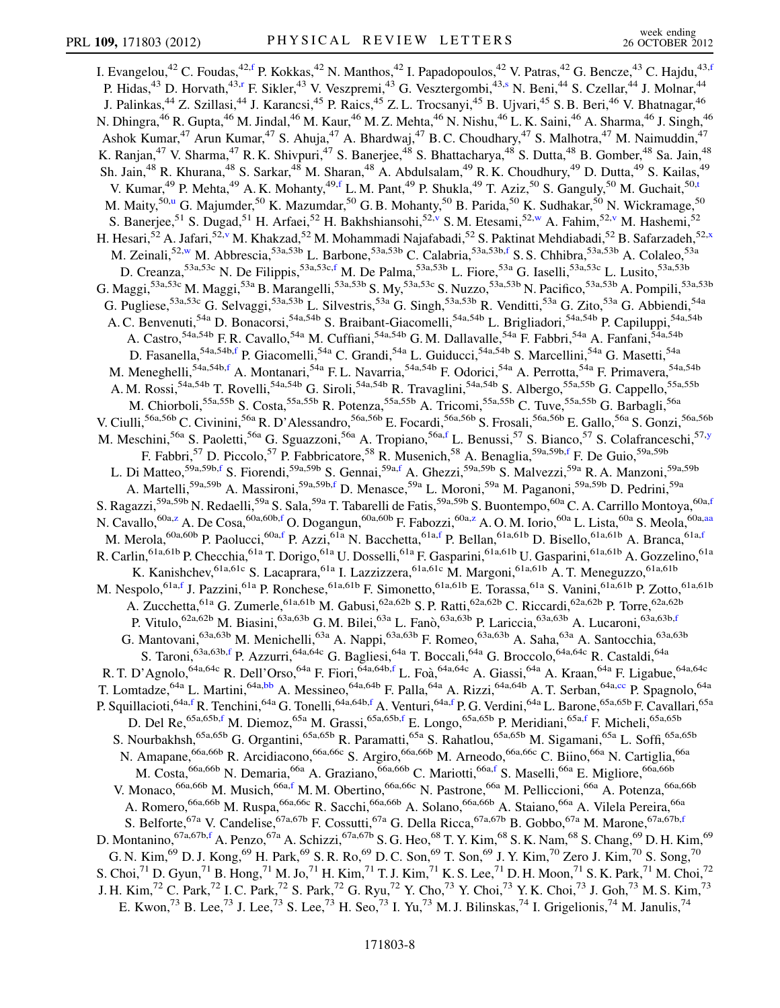<span id="page-7-7"></span><span id="page-7-6"></span><span id="page-7-5"></span><span id="page-7-4"></span><span id="page-7-3"></span><span id="page-7-2"></span><span id="page-7-1"></span><span id="page-7-0"></span>I. Evangelou,<sup>42</sup> C. Foudas,<sup>42[,f](#page-14-5)</sup> P. Kokkas,<sup>42</sup> N. Manthos,<sup>42</sup> I. Papadopoulos,<sup>42</sup> V. Patras,<sup>42</sup> G. Bencze,<sup>43</sup> C. Hajdu,<sup>43,f</sup> P. Hidas,<sup>43</sup> D. Horvath,<sup>43[,r](#page-14-17)</[s](#page-14-18)up> F. Sikler,<sup>43</sup> V. Veszpremi,<sup>43</sup> G. Vesztergombi,<sup>43,s</sup> N. Beni,<sup>44</sup> S. Czellar,<sup>44</sup> J. Molnar,<sup>44</sup> J. Palinkas,<sup>44</sup> Z. Szillasi,<sup>44</sup> J. Karancsi,<sup>45</sup> P. Raics,<sup>45</sup> Z. L. Trocsanyi,<sup>45</sup> B. Ujvari,<sup>45</sup> S. B. Beri,<sup>46</sup> V. Bhatnagar,<sup>46</sup> N. Dhingra, <sup>46</sup> R. Gupta, <sup>46</sup> M. Jindal, <sup>46</sup> M. Kaur, <sup>46</sup> M. Z. Mehta, <sup>46</sup> N. Nishu, <sup>46</sup> L. K. Saini, <sup>46</sup> A. Sharma, <sup>46</sup> J. Singh, <sup>46</sup> Ashok Kumar,<sup>47</sup> Arun Kumar,<sup>47</sup> S. Ahuja,<sup>47</sup> A. Bhardwaj,<sup>47</sup> B. C. Choudhary,<sup>47</sup> S. Malhotra,<sup>47</sup> M. Naimuddin,<sup>47</sup> K. Ranjan,<sup>47</sup> V. Sharma,<sup>47</sup> R. K. Shivpuri,<sup>47</sup> S. Banerjee,<sup>48</sup> S. Bhattacharya,<sup>48</sup> S. Dutta,<sup>48</sup> B. Gomber,<sup>48</sup> Sa. Jain,<sup>48</sup> Sh. Jain,<sup>48</sup> R. Khurana,<sup>48</sup> S. Sarkar,<sup>48</sup> M. Sharan,<sup>48</sup> A. Abdulsalam,<sup>49</sup> R. K. Choudhury,<sup>49</sup> D. Dutta,<sup>49</sup> S. Kailas,<sup>49</sup> V. Kumar,<sup>49</sup> P. Mehta,<sup>49</sup> A. K. Mohanty,<sup>49,[f](#page-14-5)</sup> L. M. Pant,<sup>49</sup> P. Shukla,<sup>49</sup> T. Aziz,<sup>50</sup> S. Ganguly,<sup>50</sup> M. Guchait,<sup>50[,t](#page-14-19)</sup> M. Maity,<sup>50[,u](#page-14-20)</sup> G. Majumder,<sup>50</sup> K. Mazumdar,<sup>50</sup> G. B. Mohanty,<sup>50</sup> B. Parida,<sup>50</sup> K. Sudhakar,<sup>50</sup> N. Wickramage,<sup>50</sup> S. Banerjee,<sup>51</sup> S. Dugad,<sup>51</sup> H. Arfaei,<sup>52</sup> H. Bakhshiansohi,<sup>52[,v](#page-14-21)</sup> S. M. Etesami,<sup>52,[w](#page-14-22)</sup> A. Fahim,<sup>52,[v](#page-14-21)</sup> M. Hashemi,<sup>52</sup> H. Hesari,<sup>52</sup> A. Jafari,<sup>52[,v](#page-14-21)</sup> M. Khakzad,<sup>52</sup> M. Mohammadi Najafabadi,<sup>52</sup> S. Paktinat Mehdiabadi,<sup>52</sup> B. Safarzadeh,<sup>52[,x](#page-15-0)</sup> M. Zeinali,<sup>52[,w](#page-14-22)</sup> M. Abbrescia,<sup>53a,53b</sup> L. Barbone,<sup>53a,53b</sup> C. Calabria,<sup>53a,53b[,f](#page-14-5)</sup> S. S. Chhibra,<sup>53a,53b</sup> A. Colaleo,<sup>53a</sup> D. Creanza,<sup>53a,53c</sup> N. De Filippis,<sup>53a,53c,[f](#page-14-5)</sup> M. De Palma,<sup>53a,53b</sup> L. Fiore,<sup>53a</sup> G. Iaselli,<sup>53a,53c</sup> L. Lusito,<sup>53a,53b</sup> G. Maggi,<sup>53a,53c</sup> M. Maggi,<sup>53a</sup> B. Marangelli,<sup>53a,53b</sup> S. My,<sup>53a,53c</sup> S. Nuzzo,<sup>53a,53b</sup> N. Pacifico,<sup>53a,53b</sup> A. Pompili,<sup>53a,53b</sup> G. Pugliese,<sup>53a,53c</sup> G. Selvaggi,<sup>53a,53b</sup> L. Silvestris,<sup>53a</sup> G. Singh,<sup>53a,53b</sup> R. Venditti,<sup>53a</sup> G. Zito,<sup>53a</sup> G. Abbiendi,<sup>54a</sup> A. C. Benvenuti,<sup>54a</sup> D. Bonacorsi,<sup>54a,54b</sup> S. Braibant-Giacomelli,<sup>54a,54b</sup> L. Brigliadori,<sup>54a,54b</sup> P. Capiluppi,<sup>54a,54b</sup> A. Castro,<sup>54a,54b</sup> F. R. Cavallo,<sup>54a</sup> M. Cuffiani,<sup>54a,54b</sup> G. M. Dallavalle,<sup>54a</sup> F. Fabbri,<sup>54a</sup> A. Fanfani,<sup>54a,54b</sup> D. Fasanella,<sup>54a,54b,[f](#page-14-5)</sup> P. Giacomelli,<sup>54a</sup> C. Grandi,<sup>54a</sup> L. Guiducci,<sup>54a,54b</sup> S. Marcellini,<sup>54a</sup> G. Masetti,<sup>54a</sup> M. Meneghelli,<sup>54a,54b,[f](#page-14-5)</sup> A. Montanari,<sup>54a</sup> F.L. Navarria,<sup>54a,54b</sup> F. Odorici,<sup>54a</sup> A. Perrotta,<sup>54a</sup> F. Primavera,<sup>54a,54b</sup> A. M. Rossi,<sup>54a,54b</sup> T. Rovelli,<sup>54a,54b</sup> G. Siroli,<sup>54a,54b</sup> R. Travaglini,<sup>54a,54b</sup> S. Albergo,<sup>55a,55b</sup> G. Cappello,<sup>55a,55b</sup> M. Chiorboli,<sup>55a,55b</sup> S. Costa,<sup>55a,55b</sup> R. Potenza,<sup>55a,55b</sup> A. Tricomi,<sup>55a,55b</sup> C. Tuve,<sup>55a,55b</sup> G. Barbagli,<sup>56a</sup> V. Ciulli,<sup>56a,56b</sup> C. Civinini,<sup>56a</sup> R. D'Alessandro,<sup>56a,56b</sup> E. Focardi,<sup>56a,56b</sup> S. Frosali,<sup>56a,56b</sup> E. Gallo,<sup>56a</sup> S. Gonzi,<sup>56a,56b</sup> M. Meschini,<sup>56a</sup> S. Paoletti,<sup>56a</sup> G. Sguazzoni,<sup>56a</sup> A. Tropiano,<sup>56a[,f](#page-14-5)</sup> L. Benussi,<sup>57</sup> S. Bianco,<sup>57</sup> S. Colafranceschi,<sup>57,[y](#page-15-1)</sup> F. Fabbri,<sup>57</sup> D. Piccolo,<sup>57</sup> P. Fabbricatore,<sup>58</sup> R. Musenich,<sup>58</sup> A. Benaglia,<sup>59a,59b,[f](#page-14-5)</sup> F. De Guio,<sup>59a,59b</sup> L. Di Matteo,<sup>59a,59b[,f](#page-14-5)</sup> S. Fiorendi,<sup>59a,59b</sup> S. Gennai,<sup>59a,[f](#page-14-5)</sup> A. Ghezzi,<sup>59a,59b</sup> S. Malvezzi,<sup>59a</sup> R. A. Manzoni,<sup>59a,59b</sup> A. Martelli,<sup>59a,59b</sup> A. Massironi,<sup>59a,59b[,f](#page-14-5)</sup> D. Menasce,<sup>59a</sup> L. Moroni,<sup>59a</sup> M. Paganoni,<sup>59a,59b</sup> D. Pedrini,<sup>59a</sup> S. Ragazzi,<sup>59a,59b</sup> N. Redaelli,<sup>59a</sup> S. Sala,<sup>59a</sup> T. Tabarelli de Fatis,<sup>59a,59b</sup> S. Buontempo,<sup>60a</sup> C. A. Carrillo Montoya,<sup>60a[,f](#page-14-5)</sup> N. Cavallo,<sup>60a,[z](#page-15-2)</sup> A. De Cosa,<sup>60a,60b[,f](#page-14-5)</sup> O. Dogangun,<sup>60a,60b</sup> F. Fabozzi,<sup>60a[,z](#page-15-2)</sup> A. O. M. Iorio,<sup>60a</sup> L. Lista,<sup>60a</sup> S. Meola,<sup>60a[,aa](#page-15-3)</sup> M. Merola,<sup>60a,60b</sup> P. Paolucci,<sup>60a,[f](#page-14-5)</sup> P. Azzi,<sup>61a</sup> N. Bacchetta,<sup>61a[,f](#page-14-5)</sup> P. Bellan,<sup>61a,61b</sup> D. Bisello,<sup>61a,61b</sup> A. Branca,<sup>61a,f</sup> R. Carlin,<sup>61a,61b</sup> P. Checchia,<sup>61a</sup> T. Dorigo,<sup>61a</sup> U. Dosselli,<sup>61a</sup> F. Gasparini,<sup>61a,61b</sup> U. Gasparini,<sup>61a,61b</sup> A. Gozzelino,<sup>61a</sup> K. Kanishchev, <sup>61a,61c</sup> S. Lacaprara, <sup>61a</sup> I. Lazzizzera, <sup>61a,61c</sup> M. Margoni, <sup>61a,61b</sup> A. T. Meneguzzo, <sup>61a,61b</sup> M. Nespolo,<sup>61a[,f](#page-14-5)</sup> J. Pazzini,<sup>61a</sup> P. Ronchese,<sup>61a,61b</sup> F. Simonetto,<sup>61a,61b</sup> E. Torassa,<sup>61a</sup> S. Vanini,<sup>61a,61b</sup> P. Zotto,<sup>61a,61b</sup> A. Zucchetta,<sup>61a</sup> G. Zumerle,<sup>61a,61b</sup> M. Gabusi,<sup>62a,62b</sup> S. P. Ratti,<sup>62a,62b</sup> C. Riccardi,<sup>62a,62b</sup> P. Torre,<sup>62a,62b</sup> P. Vitulo, <sup>62a,62b</sup> M. Biasini, <sup>63a,63b</sup> G. M. Bilei, <sup>63a</sup> L. Fanò, <sup>63a,63b</sup> P. Lariccia, <sup>63a,63b</sup> A. Lucaroni, <sup>63a,63b,[f](#page-14-5)</sup> G. Mantovani, <sup>63a,63b</sup> M. Menichelli, <sup>63a</sup> A. Nappi, <sup>63a,63b</sup> F. Romeo, <sup>63a,63b</sup> A. Saha, <sup>63a</sup> A. Santocchia, <sup>63a,63b</sup> S. Taroni,  $63a,63b,f$  $63a,63b,f$  P. Azzurri,  $64a,64c$  G. Bagliesi,  $64a$  T. Boccali,  $64a$  G. Broccolo,  $64a,64c$  R. Castaldi,  $64a$ R. T. D'Agnolo,<sup>64a,64c</sup> R. Dell'Orso,<sup>64a</sup> F. Fiori,<sup>64a,64b,[f](#page-14-5)</sup> L. Foà,<sup>64a,64c</sup> A. Giassi,<sup>64a</sup> A. Kraan,<sup>64a</sup> F. Ligabue,<sup>64a,64c</sup> T. Lomtadze,<sup>64a</sup> L. Martini,<sup>64a[,bb](#page-15-4)</sup> A. Messineo,<sup>64a,64b</sup> F. Palla,<sup>64a</sup> A. Rizzi,<sup>64a,64b</sup> A. T. Serban,<sup>64a,[cc](#page-15-5)</sup> P. Spagnolo,<sup>64a</sup> P. Squillacioti, <sup>64a,[f](#page-14-5)</sup> R. Tenchini, <sup>64a</sup> G. Tonelli, <sup>64a,64b[,f](#page-14-5)</sup> A. Venturi, <sup>64a,f</sup> P. G. Verdini, <sup>64a</sup> L. Barone, <sup>65a,65b</sup> F. Cavallari, <sup>65a</sup> D. Del Re, <sup>65a,65b[,f](#page-14-5)</sup> M. Diemoz, <sup>65a</sup> M. Grassi, <sup>65a,65b,[f](#page-14-5)</sup> E. Longo, <sup>65a,65b</sup> P. Meridiani, <sup>65a,f</sup> F. Micheli, <sup>65a,65b</sup> S. Nourbakhsh,<sup>65a,65b</sup> G. Organtini,<sup>65a,65b</sup> R. Paramatti,<sup>65a</sup> S. Rahatlou,<sup>65a,65b</sup> M. Sigamani,<sup>65a</sup> L. Soffi,<sup>65a,65b</sup> N. Amapane,<sup>66a,66b</sup> R. Arcidiacono,<sup>66a,66c</sup> S. Argiro,<sup>66a,66b</sup> M. Arneodo,<sup>66a,66c</sup> C. Biino,<sup>66a</sup> N. Cartiglia,<sup>66a</sup> M. Costa,  $66a,66b$  N. Demaria,  $66a$  A. Graziano,  $66a,66b$  C. Mariotti, $66a,6c$  S. Maselli, $66a$  E. Migliore,  $66a,66b$ V. Monaco, 66a,66b M. Musich, 66a[,f](#page-14-5) M. M. Obertino, <sup>66a,66c</sup> N. Pastrone, <sup>66a</sup> M. Pelliccioni, <sup>66a</sup> A. Potenza, <sup>66a,66b</sup> A. Romero, <sup>66a,66b</sup> M. Ruspa, <sup>66a,66c</sup> R. Sacchi, <sup>66a,66b</sup> A. Solano, <sup>66a,66b</sup> A. Staiano, <sup>66a</sup> A. Vilela Pereira, <sup>66a</sup> S. Belforte,<sup>67a</sup> V. Candelise,<sup>67a,67b</sup> F. Cossutti,<sup>67a</sup> G. Della Ricca,<sup>67a,67b</sup> B. Gobbo,<sup>67a</sup> M. Marone,<sup>67a,67b[,f](#page-14-5)</sup> D. Montanino,  $^{67a,67b,f}$  $^{67a,67b,f}$  $^{67a,67b,f}$  A. Penzo,  $^{67a}$  A. Schizzi,  $^{67a,67b}$  S. G. Heo,  $^{68}$  T. Y. Kim,  $^{68}$  S. K. Nam,  $^{68}$  S. Chang,  $^{69}$  D. H. Kim,  $^{69}$ G. N. Kim, $^{69}$  D. J. Kong, $^{69}$  H. Park, $^{69}$  S. R. Ro, $^{69}$  D. C. Son, $^{69}$  T. Son, $^{69}$  J. Y. Kim, $^{70}$  Zero J. Kim, $^{70}$  S. Song, $^{70}$ S. Choi,<sup>71</sup> D. Gyun,<sup>71</sup> B. Hong,<sup>71</sup> M. Jo,<sup>71</sup> H. Kim,<sup>71</sup> T. J. Kim,<sup>71</sup> K. S. Lee,<sup>71</sup> D. H. Moon,<sup>71</sup> S. K. Park,<sup>71</sup> M. Choi,<sup>72</sup> J. H. Kim,<sup>72</sup> C. Park,<sup>72</sup> I. C. Park,<sup>72</sup> S. Park,<sup>72</sup> G. Ryu,<sup>72</sup> Y. Cho,<sup>73</sup> Y. Choi,<sup>73</sup> Y. K. Choi,<sup>73</sup> J. Goh,<sup>73</sup> M. S. Kim,<sup>73</sup> E. Kwon,<sup>73</sup> B. Lee,<sup>73</sup> J. Lee,<sup>73</sup> S. Lee,<sup>73</sup> H. Seo,<sup>73</sup> I. Yu,<sup>73</sup> M. J. Bilinskas,<sup>74</sup> I. Grigelionis,<sup>74</sup> M. Janulis,<sup>74</sup>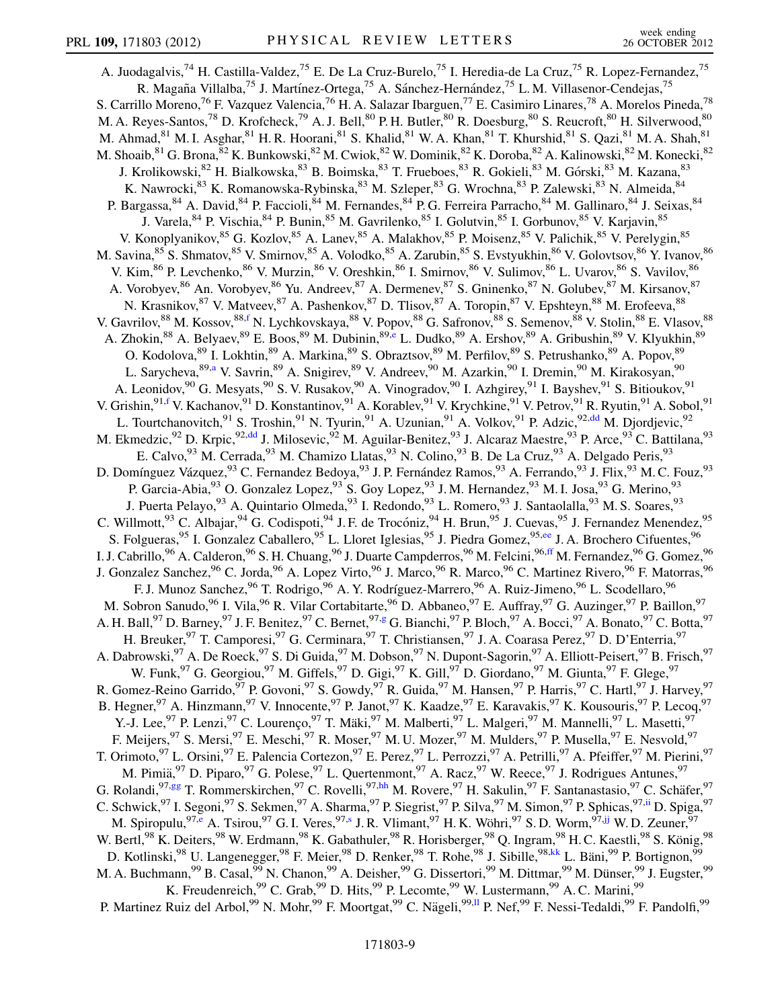<span id="page-8-7"></span><span id="page-8-6"></span><span id="page-8-5"></span><span id="page-8-4"></span><span id="page-8-3"></span><span id="page-8-2"></span><span id="page-8-1"></span><span id="page-8-0"></span>A. Juodagalvis,<sup>74</sup> H. Castilla-Valdez,<sup>75</sup> E. De La Cruz-Burelo,<sup>75</sup> I. Heredia-de La Cruz,<sup>75</sup> R. Lopez-Fernandez,<sup>75</sup> R. Magaña Villalba,<sup>75</sup> J. Martínez-Ortega,<sup>75</sup> A. Sánchez-Hernández,<sup>75</sup> L. M. Villasenor-Cendejas,<sup>75</sup> S. Carrillo Moreno,<sup>76</sup> F. Vazquez Valencia,<sup>76</sup> H. A. Salazar Ibarguen,<sup>77</sup> E. Casimiro Linares,<sup>78</sup> A. Morelos Pineda,<sup>78</sup> M. A. Reyes-Santos,<sup>78</sup> D. Krofcheck,<sup>79</sup> A. J. Bell,<sup>80</sup> P. H. Butler,<sup>80</sup> R. Doesburg,<sup>80</sup> S. Reucroft,<sup>80</sup> H. Silverwood,<sup>80</sup> M. Ahmad,<sup>81</sup> M. I. Asghar,<sup>81</sup> H. R. Hoorani,<sup>81</sup> S. Khalid,<sup>81</sup> W. A. Khan,<sup>81</sup> T. Khurshid,<sup>81</sup> S. Qazi,<sup>81</sup> M. A. Shah,<sup>81</sup> M. Shoaib, <sup>81</sup> G. Brona, <sup>82</sup> K. Bunkowski, <sup>82</sup> M. Cwiok, <sup>82</sup> W. Dominik, <sup>82</sup> K. Doroba, <sup>82</sup> A. Kalinowski, <sup>82</sup> M. Konecki, <sup>82</sup> J. Krolikowski, <sup>82</sup> H. Bialkowska, <sup>83</sup> B. Boimska, <sup>83</sup> T. Frueboes, <sup>83</sup> R. Gokieli, <sup>83</sup> M. Górski, <sup>83</sup> M. Kazana, <sup>83</sup> K. Nawrocki, 83 K. Romanowska-Rybinska, 83 M. Szleper, 83 G. Wrochna, 83 P. Zalewski, 83 N. Almeida, 84 P. Bargassa, <sup>84</sup> A. David, <sup>84</sup> P. Faccioli, <sup>84</sup> M. Fernandes, <sup>84</sup> P. G. Ferreira Parracho, <sup>84</sup> M. Gallinaro, <sup>84</sup> J. Seixas, <sup>84</sup> J. Varela, <sup>84</sup> P. Vischia, <sup>84</sup> P. Bunin, <sup>85</sup> M. Gavrilenko, <sup>85</sup> I. Golutvin, <sup>85</sup> I. Gorbunov, <sup>85</sup> V. Karjavin, <sup>85</sup> V. Konoplyanikov, <sup>85</sup> G. Kozlov, <sup>85</sup> A. Lanev, <sup>85</sup> A. Malakhov, <sup>85</sup> P. Moisenz, <sup>85</sup> V. Palichik, <sup>85</sup> V. Perelygin, <sup>85</sup> M. Savina, <sup>85</sup> S. Shmatov, <sup>85</sup> V. Smirnov, <sup>85</sup> A. Volodko, <sup>85</sup> A. Zarubin, <sup>85</sup> S. Evstyukhin, <sup>86</sup> V. Golovtsov, <sup>86</sup> Y. Ivanov, <sup>86</sup> V. Kim,<sup>86</sup> P. Levchenko,<sup>86</sup> V. Murzin,<sup>86</sup> V. Oreshkin,<sup>86</sup> I. Smirnov,<sup>86</sup> V. Sulimov,<sup>86</sup> L. Uvarov,<sup>86</sup> S. Vavilov,<sup>86</sup> A. Vorobyev, <sup>86</sup> An. Vorobyev, <sup>86</sup> Yu. Andreev, <sup>87</sup> A. Dermenev, <sup>87</sup> S. Gninenko, <sup>87</sup> N. Golubev, <sup>87</sup> M. Kirsanov, <sup>87</sup> N. Krasnikov, <sup>87</sup> V. Matveev, <sup>87</sup> A. Pashenkov, <sup>87</sup> D. Tlisov, <sup>87</sup> A. Toropin, <sup>87</sup> V. Epshteyn, <sup>88</sup> M. Erofeeva, <sup>88</sup> V. Gavrilov,  $^{88}$  M. Kossov,  $^{88,f}$  $^{88,f}$  $^{88,f}$  N. Lychkovskaya,  $^{88}$  V. Popov,  $^{88}$  G. Safronov,  $^{88}$  S. Semenov,  $^{88}$  V. Stolin,  $^{88}$  E. Vlasov,  $^{88}$ A. Zhokin, <sup>88</sup> A. B[e](#page-14-4)lyaev, <sup>89</sup> E. Boos, <sup>89</sup> M. Dubinin, <sup>89,e</sup> L. Dudko, <sup>89</sup> A. Ershov, <sup>89</sup> A. Gribushin, <sup>89</sup> V. Klyukhin, <sup>89</sup> O. Kodolova, <sup>89</sup> I. Lokhtin, <sup>89</sup> A. Markina, <sup>89</sup> S. Obraztsov, <sup>89</sup> M. Perfilov, <sup>89</sup> S. Petrushanko, <sup>89</sup> A. Popov, <sup>89</sup> L. Sarycheva, <sup>89[,a](#page-14-1)</sup> V. Savrin, <sup>89</sup> A. Snigirev, <sup>89</sup> V. Andreev, <sup>90</sup> M. Azarkin, <sup>90</sup> I. Dremin, <sup>90</sup> M. Kirakosyan, <sup>90</sup> A. Leonidov, <sup>90</sup> G. Mesyats, <sup>90</sup> S. V. Rusakov, <sup>90</sup> A. Vinogradov, <sup>90</sup> I. Azhgirey, <sup>91</sup> I. Bayshev, <sup>91</sup> S. Bitioukov, <sup>91</sup> V. Grishin, <sup>91,[f](#page-14-5)</sup> V. Kachanov, <sup>91</sup> D. Konstantinov, <sup>91</sup> A. Korablev, <sup>91</sup> V. Krychkine, <sup>91</sup> V. Petrov, <sup>91</sup> R. Ryutin, <sup>91</sup> A. Sobol, <sup>91</sup> L. Tourtchanovitch,<sup>91</sup> S. Troshin,<sup>91</sup> N. Tyurin,<sup>91</sup> A. Uzunian,<sup>91</sup> A. Volkov,<sup>91</sup> P. Adzic,<sup>92[,dd](#page-15-6)</sup> M. Djordjevic,<sup>92</sup> M. Ekmedzic,<sup>92</sup> D. Krpic,<sup>92,[dd](#page-15-6)</sup> J. Milosevic,<sup>92</sup> M. Aguilar-Benitez,<sup>93</sup> J. Alcaraz Maestre,<sup>93</sup> P. Arce,<sup>93</sup> C. Battilana,<sup>93</sup> E. Calvo,  $93$  M. Cerrada,  $93$  M. Chamizo Llatas,  $93$  N. Colino,  $93$  B. De La Cruz,  $93$  A. Delgado Peris,  $93$ D. Domínguez Vázquez,<sup>93</sup> C. Fernandez Bedoya,<sup>93</sup> J. P. Fernández Ramos,<sup>93</sup> A. Ferrando,<sup>93</sup> J. Flix,<sup>93</sup> M. C. Fouz,<sup>93</sup> P. Garcia-Abia,<sup>93</sup> O. Gonzalez Lopez,<sup>93</sup> S. Goy Lopez,<sup>93</sup> J. M. Hernandez,<sup>93</sup> M. I. Josa,<sup>93</sup> G. Merino,<sup>93</sup> J. Puerta Pelayo, <sup>93</sup> A. Quintario Olmeda, <sup>93</sup> I. Redondo, <sup>93</sup> L. Romero, <sup>93</sup> J. Santaolalla, <sup>93</sup> M. S. Soares, <sup>93</sup> C. Willmott,<sup>93</sup> C. Albajar,<sup>94</sup> G. Codispoti,<sup>94</sup> J. F. de Trocóniz,<sup>94</sup> H. Brun,<sup>95</sup> J. Cuevas,<sup>95</sup> J. Fernandez Menendez,<sup>95</sup> S. Folgueras,<sup>95</sup> I. Gonzalez Caballero,<sup>95</sup> L. Lloret Iglesias, <sup>95</sup> J. Piedra Gomez, <sup>95[,ee](#page-15-7)</sup> J. A. Brochero Cifuentes, <sup>96</sup> I. J. Cabrillo, <sup>96</sup> A. Calderon, <sup>96</sup> S. H. Chuang, <sup>96</sup> J. Duarte Campderros, <sup>96</sup> M. Felcini, <sup>96[,ff](#page-15-8)</sup> M. Fernandez, <sup>96</sup> G. Gomez, <sup>96</sup> J. Gonzalez Sanchez,<sup>96</sup> C. Jorda,<sup>96</sup> A. Lopez Virto,<sup>96</sup> J. Marco,<sup>96</sup> R. Marco,<sup>96</sup> C. Martinez Rivero,<sup>96</sup> F. Matorras,<sup>96</sup> F. J. Munoz Sanchez, <sup>96</sup> T. Rodrigo, <sup>96</sup> A. Y. Rodríguez-Marrero, <sup>96</sup> A. Ruiz-Jimeno, <sup>96</sup> L. Scodellaro, <sup>96</sup> M. Sobron Sanudo,<sup>96</sup> I. Vila, <sup>96</sup> R. Vilar Cortabitarte, <sup>96</sup> D. Abbaneo, <sup>97</sup> E. Auffray, <sup>97</sup> G. Auzinger, <sup>97</sup> P. Baillon, <sup>97</sup> A. H. Ball,<sup>97</sup> D. Barney,<sup>97</sup> J. F. Benitez,<sup>97</sup> C. Bernet,<sup>97,[g](#page-14-6)</sup> G. Bianchi,<sup>97</sup> P. Bloch,<sup>97</sup> A. Bocci,<sup>97</sup> A. Bonato,<sup>97</sup> C. Botta,<sup>97</sup> H. Breuker, <sup>97</sup> T. Camporesi, <sup>97</sup> G. Cerminara, <sup>97</sup> T. Christiansen, <sup>97</sup> J. A. Coarasa Perez, <sup>97</sup> D. D'Enterria, <sup>97</sup> A. Dabrowski,<sup>97</sup> A. De Roeck,<sup>97</sup> S. Di Guida,<sup>97</sup> M. Dobson,<sup>97</sup> N. Dupont-Sagorin,<sup>97</sup> A. Elliott-Peisert,<sup>97</sup> B. Frisch,<sup>97</sup> W. Funk, <sup>97</sup> G. Georgiou, <sup>97</sup> M. Giffels, <sup>97</sup> D. Gigi, <sup>97</sup> K. Gill, <sup>97</sup> D. Giordano, <sup>97</sup> M. Giunta, <sup>97</sup> F. Glege, <sup>97</sup> R. Gomez-Reino Garrido,  $\frac{97}{9}$  P. Govoni,  $\frac{97}{9}$  S. Gowdy,  $\frac{97}{9}$  R. Guida,  $\frac{97}{9}$  M. Hansen,  $\frac{97}{9}$  P. Harris,  $\frac{97}{9}$  C. Hartl,  $\frac{97}{9}$  J. Harvey,  $\frac{97}{9}$ B. Hegner, <sup>97</sup> A. Hinzmann, <sup>97</sup> V. Innocente, <sup>97</sup> P. Janot, <sup>97</sup> K. Kaadze, <sup>97</sup> E. Karavakis, <sup>97</sup> K. Kousouris, <sup>97</sup> P. Lecoq, <sup>97</sup> Y.-J. Lee, <sup>97</sup> P. Lenzi, <sup>97</sup> C. Lourenço, <sup>97</sup> T. Mäki, <sup>97</sup> M. Malberti, <sup>97</sup> L. Malgeri, <sup>97</sup> M. Mannelli, <sup>97</sup> L. Masetti, <sup>97</sup> F. Meijers, <sup>97</sup> S. Mersi, <sup>97</sup> E. Meschi, <sup>97</sup> R. Moser, <sup>97</sup> M. U. Mozer, <sup>97</sup> M. Mulders, <sup>97</sup> P. Musella, <sup>97</sup> E. Nesvold, <sup>97</sup> T. Orimoto, <sup>97</sup> L. Orsini, <sup>97</sup> E. Palencia Cortezon, <sup>97</sup> E. Perez, <sup>97</sup> L. Perrozzi, <sup>97</sup> A. Petrilli, <sup>97</sup> A. Pfeiffer, <sup>97</sup> M. Pierini, <sup>97</sup> M. Pimiä,<sup>97</sup> D. Piparo,<sup>97</sup> G. Polese,<sup>97</sup> L. Quertenmont,<sup>97</sup> A. Racz,<sup>97</sup> W. Reece,<sup>97</sup> J. Rodrigues Antunes,<sup>97</sup> G. Rolandi,  $97,gg$  $97,gg$  T. Rommerskirchen,  $97$  C. Rovelli,  $97,hh$  $97,hh$  M. Rovere,  $97$  H. Sakulin,  $97$  F. Santanastasio,  $97$  C. Schäfer,  $97$ C. Schwick, <sup>97</sup> I. Segoni, <sup>97</sup> S. Sekmen, <sup>97</sup> A. Sharma, <sup>97</sup> P. Siegrist, <sup>97</sup> P. Silva, <sup>97</sup> M. Simon, <sup>97</sup> P. Sphicas, <sup>97,[ii](#page-15-11)</sup> D. Spiga, <sup>97</sup> M. Spiropulu,  $97, e$  A. Tsirou,  $97$  G. I. Veres,  $97, s$  J. R. Vlimant,  $97$  H. K. Wöhri,  $97$  S. D. Worm,  $97, jj$  $97, jj$  W. D. Zeuner,  $97$ W. Bertl,<sup>98</sup> K. Deiters,<sup>98</sup> W. Erdmann,<sup>98</sup> K. Gabathuler,<sup>98</sup> R. Horisberger,<sup>98</sup> Q. Ingram,<sup>98</sup> H. C. Kaestli,<sup>98</sup> S. König,<sup>98</sup> D. Kotlinski,<sup>98</sup> U. Langenegger,<sup>98</sup> F. Meier,<sup>98</sup> D. Renker,<sup>98</sup> T. Rohe,<sup>98</sup> J. Sibille,<sup>98[,kk](#page-15-13)</sup> L. Bäni,<sup>99</sup> P. Bortignon,<sup>99</sup> M. A. Buchmann,<sup>99</sup> B. Casal,<sup>99</sup> N. Chanon,<sup>99</sup> A. Deisher,<sup>99</sup> G. Dissertori,<sup>99</sup> M. Dittmar,<sup>99</sup> M. Dünser,<sup>99</sup> J. Eugster,<sup>99</sup> K. Freudenreich,  $^{99}$  C. Grab,  $^{99}$  D. Hits,  $^{99}$  P. Lecomte,  $^{99}$  W. Lustermann,  $^{99}$  A. C. Marini,  $^{99}$ P. Martinez Ruiz del Arbol,<sup>99</sup> N. Mohr,<sup>99</sup> F. Moortgat,<sup>99</sup> C. Nägeli,<sup>99, Il</sup> P. Nef,<sup>99</sup> F. Nessi-Tedaldi,<sup>99</sup> F. Pandolfi,<sup>99</sup>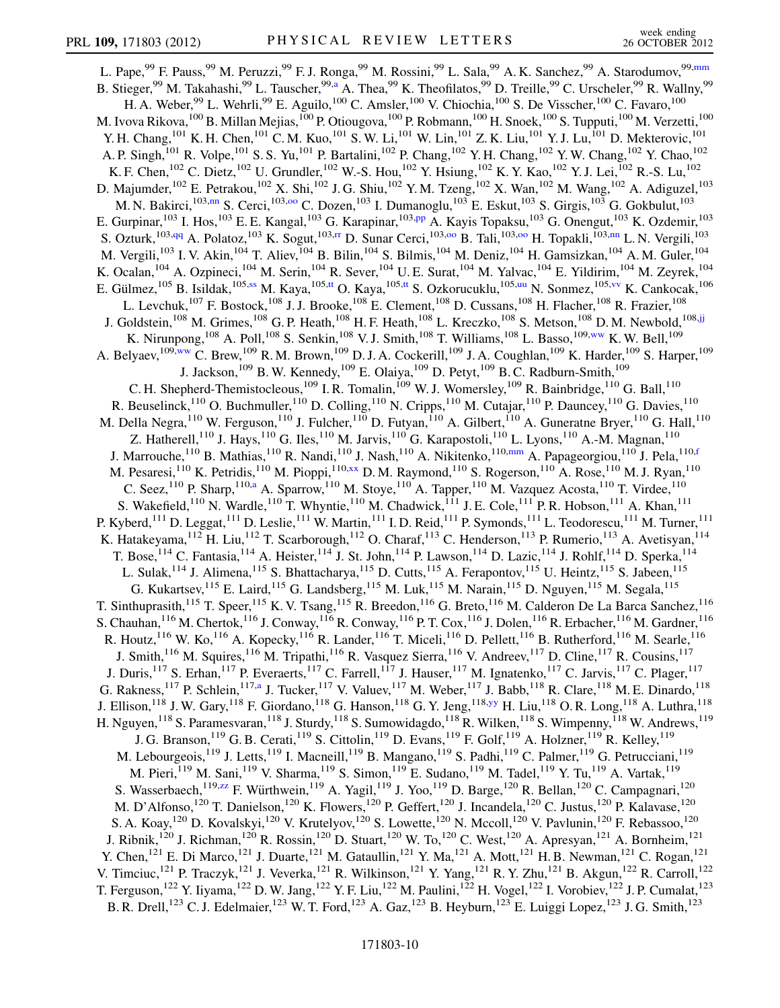<span id="page-9-7"></span><span id="page-9-6"></span><span id="page-9-5"></span><span id="page-9-4"></span><span id="page-9-3"></span><span id="page-9-2"></span><span id="page-9-1"></span><span id="page-9-0"></span>L. Pape,<sup>99</sup> F. Pauss,<sup>99</sup> M. Peruzzi,<sup>99</sup> F. J. Ronga,<sup>99</sup> M. Rossini,<sup>99</sup> L. Sala,<sup>99</sup> A. K. Sanchez,<sup>99</sup> A. Starodumov,<sup>99,[mm](#page-15-15)</sup> B. Stieger,<sup>99</sup> M. Takahashi,<sup>99</sup> L. Tauscher,<sup>99[,a](#page-14-1)</sup> A. Thea,<sup>99</sup> K. Theofilatos,<sup>99</sup> D. Treille,<sup>99</sup> C. Urscheler,<sup>99</sup> R. Wallny,<sup>99</sup> H. A. Weber, <sup>99</sup> L. Wehrli, <sup>99</sup> E. Aguilo, <sup>100</sup> C. Amsler, <sup>100</sup> V. Chiochia, <sup>100</sup> S. De Visscher, <sup>100</sup> C. Favaro, <sup>100</sup> M. Ivova Rikova,  $^{100}$  B. Millan Mejias,  $^{100}$  P. Otiougova,  $^{100}$  P. Robmann,  $^{100}$  H. Snoek,  $^{100}$  S. Tupputi,  $^{100}$  M. Verzetti,  $^{100}$ Y. H. Chang,<sup>101</sup> K. H. Chen,<sup>101</sup> C. M. Kuo,<sup>101</sup> S. W. Li,<sup>101</sup> W. Lin,<sup>101</sup> Z. K. Liu,<sup>101</sup> Y. J. Lu,<sup>101</sup> D. Mekterovic,<sup>101</sup> A. P. Singh,<sup>101</sup> R. Volpe,<sup>101</sup> S. S. Yu,<sup>101</sup> P. Bartalini,<sup>102</sup> P. Chang,<sup>102</sup> Y. H. Chang,<sup>102</sup> Y. W. Chang,<sup>102</sup> Y. Chao,<sup>102</sup> K. F. Chen,<sup>102</sup> C. Dietz,<sup>102</sup> U. Grundler,<sup>102</sup> W.-S. Hou,<sup>102</sup> Y. Hsiung,<sup>102</sup> K. Y. Kao,<sup>102</sup> Y. J. Lei,<sup>102</sup> R.-S. Lu,<sup>102</sup> D. Majumder,<sup>102</sup> E. Petrakou,<sup>102</sup> X. Shi,<sup>102</sup> J. G. Shiu,<sup>102</sup> Y. M. Tzeng,<sup>102</sup> X. Wan,<sup>102</sup> M. Wang,<sup>102</sup> A. Adiguzel,<sup>103</sup> M. N. Bakirci,<sup>103,[nn](#page-15-16)</sup> S. Cerci,<sup>103,00</sup> C. Dozen,<sup>103</sup> I. Dumanoglu,<sup>103</sup> E. Eskut,<sup>103</sup> S. Girgis,<sup>103</sup> G. Gokbulut,<sup>103</sup> E. Gurpinar,<sup>103</sup> I. Hos,<sup>103</sup> E. E. Kangal,<sup>103</sup> G. Karapinar,<sup>103,[pp](#page-15-18)</sup> A. Kayis Topaksu,<sup>103</sup> G. Onengut,<sup>103</sup> K. Ozdemir,<sup>103</sup> S. Ozturk,<sup>103[,qq](#page-15-19)</sup> A. Polatoz,<sup>103</sup> K. Sogut,<sup>103,[rr](#page-15-20)</sup> D. Sunar Cerci,<sup>103,[oo](#page-15-17)</sup> B. Tali,<sup>103,oo</sup> H. Topakli,<sup>103[,nn](#page-15-16)</sup> L. N. Vergili,<sup>103</sup> M. Vergili,<sup>103</sup> I. V. Akin,<sup>104</sup> T. Aliev,<sup>104</sup> B. Bilin,<sup>104</sup> S. Bilmis,<sup>104</sup> M. Deniz,<sup>104</sup> H. Gamsizkan,<sup>104</sup> A. M. Guler,<sup>104</sup> K. Ocalan, <sup>104</sup> A. Ozpineci, <sup>104</sup> M. Serin, <sup>104</sup> R. Sever, <sup>104</sup> U. E. Surat, <sup>104</sup> M. Yalvac, <sup>104</sup> E. Yildirim, <sup>104</sup> M. Zeyrek, <sup>104</sup> E. Gülmez, <sup>105</sup> B. Isildak, <sup>105,[ss](#page-15-21)</sup> M. Kaya, <sup>105,[tt](#page-15-22)</sup> O. Kaya, <sup>105,tt</sup> S. Ozkorucuklu, <sup>105[,uu](#page-15-23)</sup> N. Sonmez, <sup>105[,vv](#page-15-24)</sup> K. Cankocak, <sup>106</sup> L. Levchuk,<sup>107</sup> F. Bostock,<sup>108</sup> J. J. Brooke,<sup>108</sup> E. Clement,<sup>108</sup> D. Cussans,<sup>108</sup> H. Flacher,<sup>108</sup> R. Frazier,<sup>108</sup> J. Goldstein,<sup>108</sup> M. Grimes,<sup>108</sup> G. P. Heath,<sup>108</sup> H. F. Heath,<sup>108</sup> L. Kreczko,<sup>108</sup> S. Metson,<sup>108</sup> D. M. Newbold,<sup>108[,jj](#page-15-12)</sup> K. Nirunpong,  $^{108}$  A. Poll,  $^{108}$  S. Senkin,  $^{108}$  V. J. Smith,  $^{108}$  T. Williams,  $^{108}$  L. Basso,  $^{109,ww}$  $^{109,ww}$  $^{109,ww}$  K. W. Bell,  $^{109}$ A. Belyaev,  $^{109,ww}$  $^{109,ww}$  $^{109,ww}$  C. Brew,  $^{109}$  R.M. Brown,  $^{109}$  D.J.A. Cockerill,  $^{109}$  J.A. Coughlan,  $^{109}$  K. Harder,  $^{109}$  S. Harper,  $^{109}$ J. Jackson,<sup>109</sup> B. W. Kennedy,<sup>109</sup> E. Olaiya,<sup>109</sup> D. Petyt,<sup>109</sup> B. C. Radburn-Smith,<sup>109</sup> C. H. Shepherd-Themistocleous,<sup>109</sup> I. R. Tomalin,<sup>109</sup> W. J. Womersley,<sup>109</sup> R. Bainbridge,<sup>110</sup> G. Ball,<sup>110</sup> R. Beuselinck,<sup>110</sup> O. Buchmuller,<sup>110</sup> D. Colling,<sup>110</sup> N. Cripps,<sup>110</sup> M. Cutajar,<sup>110</sup> P. Dauncey,<sup>110</sup> G. Davies,<sup>110</sup> M. Della Negra,  $^{110}$  W. Ferguson,  $^{110}$  J. Fulcher,  $^{110}$  D. Futyan,  $^{110}$  A. Gilbert,  $^{110}$  A. Guneratne Bryer,  $^{110}$  G. Hall,  $^{110}$ Z. Hatherell,<sup>110</sup> J. Hays,<sup>110</sup> G. Iles,<sup>110</sup> M. Jarvis,<sup>110</sup> G. Karapostoli,<sup>110</sup> L. Lyons,<sup>110</sup> A.-M. Magnan,<sup>110</sup> J. Marrouche,<sup>110</sup> B. Mathias,<sup>110</sup> R. Nandi,<sup>110</sup> J. Nash,<sup>110</sup> A. Nikitenko,<sup>110[,mm](#page-15-15)</sup> A. Papageorgiou,<sup>110</sup> J. Pela,<sup>110[,f](#page-14-5)</sup> M. Pesaresi,<sup>110</sup> K. Petridis,<sup>110</sup> M. Pioppi,<sup>110,[xx](#page-15-26)</sup> D.M. Raymond,<sup>110</sup> S. Rogerson,<sup>110</sup> A. Rose,<sup>110</sup> M.J. Ryan,<sup>110</sup> C. Seez,  $^{110}$  P. Sharp,  $^{110,a}$  $^{110,a}$  $^{110,a}$  A. Sparrow,  $^{110}$  M. Stoye,  $^{110}$  A. Tapper,  $^{110}$  M. Vazquez Acosta,  $^{110}$  T. Virdee,  $^{110}$ S. Wakefield,<sup>110</sup> N. Wardle,<sup>110</sup> T. Whyntie,<sup>110</sup> M. Chadwick,<sup>111</sup> J. E. Cole,<sup>111</sup> P. R. Hobson,<sup>111</sup> A. Khan,<sup>111</sup> P. Kyberd,<sup>111</sup> D. Leggat,<sup>111</sup> D. Leslie,<sup>111</sup> W. Martin,<sup>111</sup> I. D. Reid,<sup>111</sup> P. Symonds,<sup>111</sup> L. Teodorescu,<sup>111</sup> M. Turner,<sup>111</sup> K. Hatakeyama, <sup>112</sup> H. Liu, <sup>112</sup> T. Scarborough, <sup>112</sup> O. Charaf, <sup>113</sup> C. Henderson, <sup>113</sup> P. Rumerio, <sup>113</sup> A. Avetisyan, <sup>114</sup> T. Bose,<sup>114</sup> C. Fantasia,<sup>114</sup> A. Heister,<sup>114</sup> J. St. John,<sup>114</sup> P. Lawson,<sup>114</sup> D. Lazic,<sup>114</sup> J. Rohlf,<sup>114</sup> D. Sperka,<sup>114</sup> L. Sulak,<sup>114</sup> J. Alimena,<sup>115</sup> S. Bhattacharya,<sup>115</sup> D. Cutts,<sup>115</sup> A. Ferapontov,<sup>115</sup> U. Heintz,<sup>115</sup> S. Jabeen,<sup>115</sup> G. Kukartsev,<sup>115</sup> E. Laird,<sup>115</sup> G. Landsberg,<sup>115</sup> M. Luk,<sup>115</sup> M. Narain,<sup>115</sup> D. Nguyen,<sup>115</sup> M. Segala,<sup>115</sup> T. Sinthuprasith,<sup>115</sup> T. Speer,<sup>115</sup> K. V. Tsang,<sup>115</sup> R. Breedon,<sup>116</sup> G. Breto,<sup>116</sup> M. Calderon De La Barca Sanchez,<sup>116</sup> S. Chauhan,  $^{116}$  M. Chertok,  $^{116}$  J. Conway,  $^{116}$  R. Conway,  $^{116}$  P. T. Cox,  $^{116}$  J. Dolen,  $^{116}$  R. Erbacher,  $^{116}$  M. Gardner,  $^{116}$ R. Houtz, <sup>116</sup> W. Ko, <sup>116</sup> A. Kopecky, <sup>116</sup> R. Lander, <sup>116</sup> T. Miceli, <sup>116</sup> D. Pellett, <sup>116</sup> B. Rutherford, <sup>116</sup> M. Searle, <sup>116</sup> J. Smith,<sup>116</sup> M. Squires,<sup>116</sup> M. Tripathi,<sup>116</sup> R. Vasquez Sierra,<sup>116</sup> V. Andreev,<sup>117</sup> D. Cline,<sup>117</sup> R. Cousins,<sup>117</sup> J. Duris,<sup>117</sup> S. Erhan,<sup>117</sup> P. Everaerts,<sup>117</sup> C. Farrell,<sup>117</sup> J. Hauser,<sup>117</sup> M. Ignatenko,<sup>117</sup> C. Jarvis,<sup>117</sup> C. Plager,<sup>117</sup> G. R[a](#page-14-1)kness,<sup>117</sup> P. Schlein,<sup>117,a</sup> J. Tucker,<sup>117</sup> V. Valuev,<sup>117</sup> M. Weber,<sup>117</sup> J. Babb,<sup>118</sup> R. Clare,<sup>118</sup> M. E. Dinardo,<sup>118</sup> J. Ellison,<sup>118</sup> J. W. Gary,<sup>118</sup> F. Giordano,<sup>118</sup> G. Hanson,<sup>118</sup> G. Y. Jeng,<sup>118,[yy](#page-15-27)</sup> H. Liu,<sup>118</sup> O. R. Long,<sup>118</sup> A. Luthra,<sup>118</sup> H. Nguyen,<sup>118</sup> S. Paramesvaran,<sup>118</sup> J. Sturdy,<sup>118</sup> S. Sumowidagdo,<sup>118</sup> R. Wilken,<sup>118</sup> S. Wimpenny,<sup>118</sup> W. Andrews,<sup>119</sup> J. G. Branson,  $^{119}$  G. B. Cerati,  $^{119}$  S. Cittolin,  $^{119}$  D. Evans,  $^{119}$  F. Golf,  $^{119}$  A. Holzner,  $^{119}$  R. Kelley,  $^{119}$ M. Lebourgeois,<sup>119</sup> J. Letts,<sup>119</sup> I. Macneill,<sup>119</sup> B. Mangano,<sup>119</sup> S. Padhi,<sup>119</sup> C. Palmer,<sup>119</sup> G. Petrucciani,<sup>119</sup> M. Pieri, 119 M. Sani, 119 V. Sharma, <sup>119</sup> S. Simon, <sup>119</sup> E. Sudano, <sup>119</sup> M. Tadel, <sup>119</sup> Y. Tu, <sup>119</sup> A. Vartak, <sup>119</sup> S. Wasserbaech,<sup>119,[zz](#page-15-28)</sup> F. Würthwein,<sup>119</sup> A. Yagil,<sup>119</sup> J. Yoo,<sup>119</sup> D. Barge,<sup>120</sup> R. Bellan,<sup>120</sup> C. Campagnari,<sup>120</sup> M. D'Alfonso,<sup>120</sup> T. Danielson,<sup>120</sup> K. Flowers,<sup>120</sup> P. Geffert,<sup>120</sup> J. Incandela,<sup>120</sup> C. Justus,<sup>120</sup> P. Kalavase,<sup>120</sup> S. A. Koay,<sup>120</sup> D. Kovalskyi,<sup>120</sup> V. Krutelyov,<sup>120</sup> S. Lowette,<sup>120</sup> N. Mccoll,<sup>120</sup> V. Pavlunin,<sup>120</sup> F. Rebassoo,<sup>120</sup> J. Ribnik,<sup>120</sup> J. Richman,<sup>120</sup> R. Rossin,<sup>120</sup> D. Stuart,<sup>120</sup> W. To,<sup>120</sup> C. West,<sup>120</sup> A. Apresyan,<sup>121</sup> A. Bornheim,<sup>121</sup> Y. Chen,<sup>121</sup> E. Di Marco,<sup>121</sup> J. Duarte,<sup>121</sup> M. Gataullin,<sup>121</sup> Y. Ma,<sup>121</sup> A. Mott,<sup>121</sup> H. B. Newman,<sup>121</sup> C. Rogan,<sup>121</sup> V. Timciuc,<sup>121</sup> P. Traczyk,<sup>121</sup> J. Veverka,<sup>121</sup> R. Wilkinson,<sup>121</sup> Y. Yang,<sup>121</sup> R. Y. Zhu,<sup>121</sup> B. Akgun,<sup>122</sup> R. Carroll,<sup>122</sup> T. Ferguson,<sup>122</sup> Y. Iiyama,<sup>122</sup> D. W. Jang,<sup>122</sup> Y. F. Liu,<sup>122</sup> M. Paulini,<sup>122</sup> H. Vogel,<sup>122</sup> I. Vorobiev,<sup>122</sup> J. P. Cumalat,<sup>123</sup> B. R. Drell,<sup>123</sup> C. J. Edelmaier,<sup>123</sup> W. T. Ford,<sup>123</sup> A. Gaz,<sup>123</sup> B. Heyburn,<sup>123</sup> E. Luiggi Lopez,<sup>123</sup> J. G. Smith,<sup>123</sup>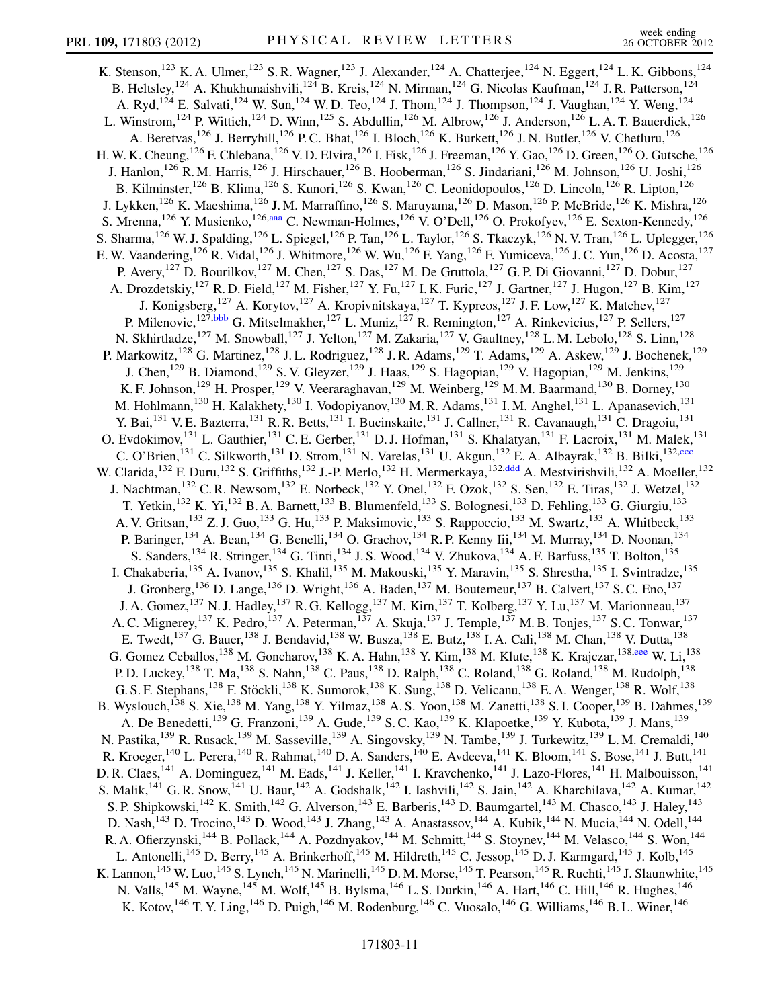<span id="page-10-4"></span><span id="page-10-3"></span><span id="page-10-2"></span><span id="page-10-1"></span><span id="page-10-0"></span>K. Stenson,<sup>123</sup> K. A. Ulmer,<sup>123</sup> S. R. Wagner,<sup>123</sup> J. Alexander,<sup>124</sup> A. Chatterjee,<sup>124</sup> N. Eggert,<sup>124</sup> L. K. Gibbons,<sup>124</sup> B. Heltsley, <sup>124</sup> A. Khukhunaishvili, <sup>124</sup> B. Kreis, <sup>124</sup> N. Mirman, <sup>124</sup> G. Nicolas Kaufman, <sup>124</sup> J. R. Patterson, <sup>124</sup> A. Ryd,<sup>124</sup> E. Salvati,<sup>124</sup> W. Sun,<sup>124</sup> W. D. Teo,<sup>124</sup> J. Thom,<sup>124</sup> J. Thompson,<sup>124</sup> J. Vaughan,<sup>124</sup> Y. Weng,<sup>124</sup> L. Winstrom,<sup>124</sup> P. Wittich,<sup>124</sup> D. Winn,<sup>125</sup> S. Abdullin,<sup>126</sup> M. Albrow,<sup>126</sup> J. Anderson,<sup>126</sup> L. A. T. Bauerdick,<sup>126</sup> A. Beretvas,<sup>126</sup> J. Berryhill,<sup>126</sup> P. C. Bhat,<sup>126</sup> I. Bloch,<sup>126</sup> K. Burkett,<sup>126</sup> J. N. Butler,<sup>126</sup> V. Chetluru,<sup>126</sup> H. W. K. Cheung,  $^{126}$  F. Chlebana,  $^{126}$  V. D. Elvira,  $^{126}$  I. Fisk,  $^{126}$  J. Freeman,  $^{126}$  Y. Gao,  $^{126}$  D. Green,  $^{126}$  O. Gutsche,  $^{126}$ J. Hanlon,<sup>126</sup> R. M. Harris,<sup>126</sup> J. Hirschauer,<sup>126</sup> B. Hooberman,<sup>126</sup> S. Jindariani,<sup>126</sup> M. Johnson,<sup>126</sup> U. Joshi,<sup>126</sup> B. Kilminster,<sup>126</sup> B. Klima,<sup>126</sup> S. Kunori,<sup>126</sup> S. Kwan,<sup>126</sup> C. Leonidopoulos,<sup>126</sup> D. Lincoln,<sup>126</sup> R. Lipton,<sup>126</sup> J. Lykken,<sup>126</sup> K. Maeshima,<sup>126</sup> J. M. Marraffino,<sup>126</sup> S. Maruyama,<sup>126</sup> D. Mason,<sup>126</sup> P. McBride,<sup>126</sup> K. Mishra,<sup>126</sup> S. Mrenna, <sup>126</sup> Y. Musienko, <sup>126[,aaa](#page-15-29)</sup> C. Newman-Holmes, <sup>126</sup> V. O'Dell, <sup>126</sup> O. Prokofyev, <sup>126</sup> E. Sexton-Kennedy, <sup>126</sup> S. Sharma,<sup>126</sup> W. J. Spalding,<sup>126</sup> L. Spiegel,<sup>126</sup> P. Tan,<sup>126</sup> L. Taylor,<sup>126</sup> S. Tkaczyk,<sup>126</sup> N. V. Tran,<sup>126</sup> L. Uplegger,<sup>126</sup> E. W. Vaandering,<sup>126</sup> R. Vidal,<sup>126</sup> J. Whitmore,<sup>126</sup> W. Wu,<sup>126</sup> F. Yang,<sup>126</sup> F. Yumiceva,<sup>126</sup> J. C. Yun,<sup>126</sup> D. Acosta,<sup>127</sup> P. Avery,<sup>127</sup> D. Bourilkov,<sup>127</sup> M. Chen,<sup>127</sup> S. Das,<sup>127</sup> M. De Gruttola,<sup>127</sup> G. P. Di Giovanni,<sup>127</sup> D. Dobur,<sup>127</sup> A. Drozdetskiy,<sup>127</sup> R. D. Field,<sup>127</sup> M. Fisher,<sup>127</sup> Y. Fu,<sup>127</sup> I. K. Furic,<sup>127</sup> J. Gartner,<sup>127</sup> J. Hugon,<sup>127</sup> B. Kim,<sup>127</sup> J. Konigsberg,<sup>127</sup> A. Korytov,<sup>127</sup> A. Kropivnitskaya,<sup>127</sup> T. Kypreos,<sup>127</sup> J. F. Low,<sup>127</sup> K. Matchev,<sup>127</sup> P. Milenovic,<sup>127,[bbb](#page-15-30)</sup> G. Mitselmakher,<sup>127</sup> L. Muniz,<sup>127</sup> R. Remington,<sup>127</sup> A. Rinkevicius,<sup>127</sup> P. Sellers,<sup>127</sup> N. Skhirtladze,<sup>127</sup> M. Snowball,<sup>127</sup> J. Yelton,<sup>127</sup> M. Zakaria,<sup>127</sup> V. Gaultney,<sup>128</sup> L. M. Lebolo,<sup>128</sup> S. Linn,<sup>128</sup> P. Markowitz,<sup>128</sup> G. Martinez,<sup>128</sup> J. L. Rodriguez,<sup>128</sup> J. R. Adams,<sup>129</sup> T. Adams,<sup>129</sup> A. Askew,<sup>129</sup> J. Bochenek,<sup>129</sup> J. Chen,<sup>129</sup> B. Diamond,<sup>129</sup> S. V. Gleyzer,<sup>129</sup> J. Haas,<sup>129</sup> S. Hagopian,<sup>129</sup> V. Hagopian,<sup>129</sup> M. Jenkins,<sup>129</sup> K. F. Johnson,<sup>129</sup> H. Prosper,<sup>129</sup> V. Veeraraghavan,<sup>129</sup> M. Weinberg,<sup>129</sup> M. M. Baarmand,<sup>130</sup> B. Dorney,<sup>130</sup> M. Hohlmann,<sup>130</sup> H. Kalakhety,<sup>130</sup> I. Vodopiyanov,<sup>130</sup> M. R. Adams,<sup>131</sup> I. M. Anghel,<sup>131</sup> L. Apanasevich,<sup>131</sup> Y. Bai,<sup>131</sup> V. E. Bazterra,<sup>131</sup> R. R. Betts,<sup>131</sup> I. Bucinskaite,<sup>131</sup> J. Callner,<sup>131</sup> R. Cavanaugh,<sup>131</sup> C. Dragoiu,<sup>131</sup> O. Evdokimov,<sup>131</sup> L. Gauthier,<sup>131</sup> C. E. Gerber,<sup>131</sup> D. J. Hofman,<sup>131</sup> S. Khalatyan,<sup>131</sup> F. Lacroix,<sup>131</sup> M. Malek,<sup>131</sup> C. O'Brien,<sup>131</sup> C. Silkworth,<sup>131</sup> D. Strom,<sup>131</sup> N. Varelas,<sup>131</sup> U. Akgun,<sup>132</sup> E. A. Albayrak,<sup>132</sup> B. Bilki,<sup>132,[ccc](#page-15-31)</sup> W. Clarida,<sup>132</sup> F. Duru,<sup>132</sup> S. Griffiths,<sup>132</sup> J.-P. Merlo,<sup>132</sup> H. Mermerkaya,<sup>132,[ddd](#page-15-32)</sup> A. Mestvirishvili,<sup>132</sup> A. Moeller,<sup>132</sup> J. Nachtman,<sup>132</sup> C. R. Newsom,<sup>132</sup> E. Norbeck,<sup>132</sup> Y. Onel,<sup>132</sup> F. Ozok,<sup>132</sup> S. Sen,<sup>132</sup> E. Tiras,<sup>132</sup> J. Wetzel,<sup>132</sup> T. Yetkin,<sup>132</sup> K. Yi,<sup>132</sup> B. A. Barnett,<sup>133</sup> B. Blumenfeld,<sup>133</sup> S. Bolognesi,<sup>133</sup> D. Fehling,<sup>133</sup> G. Giurgiu,<sup>133</sup> A. V. Gritsan,<sup>133</sup> Z. J. Guo,<sup>133</sup> G. Hu,<sup>133</sup> P. Maksimovic,<sup>133</sup> S. Rappoccio,<sup>133</sup> M. Swartz,<sup>133</sup> A. Whitbeck,<sup>133</sup> P. Baringer,<sup>134</sup> A. Bean,<sup>134</sup> G. Benelli,<sup>134</sup> O. Grachov,<sup>134</sup> R. P. Kenny Iii,<sup>134</sup> M. Murray,<sup>134</sup> D. Noonan,<sup>134</sup> S. Sanders,<sup>134</sup> R. Stringer,<sup>134</sup> G. Tinti,<sup>134</sup> J. S. Wood,<sup>134</sup> V. Zhukova,<sup>134</sup> A. F. Barfuss,<sup>135</sup> T. Bolton,<sup>135</sup> I. Chakaberia,<sup>135</sup> A. Ivanov,<sup>135</sup> S. Khalil,<sup>135</sup> M. Makouski,<sup>135</sup> Y. Maravin,<sup>135</sup> S. Shrestha,<sup>135</sup> I. Svintradze,<sup>135</sup> J. Gronberg,<sup>136</sup> D. Lange,<sup>136</sup> D. Wright,<sup>136</sup> A. Baden,<sup>137</sup> M. Boutemeur,<sup>137</sup> B. Calvert,<sup>137</sup> S. C. Eno,<sup>137</sup> J. A. Gomez,<sup>137</sup> N. J. Hadley,<sup>137</sup> R. G. Kellogg,<sup>137</sup> M. Kirn,<sup>137</sup> T. Kolberg,<sup>137</sup> Y. Lu,<sup>137</sup> M. Marionneau,<sup>137</sup> A. C. Mignerey,<sup>137</sup> K. Pedro,<sup>137</sup> A. Peterman,<sup>137</sup> A. Skuja,<sup>137</sup> J. Temple,<sup>137</sup> M. B. Tonjes,<sup>137</sup> S. C. Tonwar,<sup>137</sup> E. Twedt,<sup>137</sup> G. Bauer,<sup>138</sup> J. Bendavid,<sup>138</sup> W. Busza,<sup>138</sup> E. Butz,<sup>138</sup> I. A. Cali,<sup>138</sup> M. Chan,<sup>138</sup> V. Dutta,<sup>138</sup> G. Gomez Ceballos,<sup>138</sup> M. Goncharov,<sup>138</sup> K. A. Hahn,<sup>138</sup> Y. Kim,<sup>138</sup> M. Klute,<sup>138</sup> K. Krajczar,<sup>138[,eee](#page-15-33)</sup> W. Li,<sup>138</sup> P. D. Luckey, <sup>138</sup> T. Ma, <sup>138</sup> S. Nahn, <sup>138</sup> C. Paus, <sup>138</sup> D. Ralph, <sup>138</sup> C. Roland, <sup>138</sup> G. Roland, <sup>138</sup> M. Rudolph, <sup>138</sup> G. S. F. Stephans,<sup>138</sup> F. Stöckli,<sup>138</sup> K. Sumorok,<sup>138</sup> K. Sung,<sup>138</sup> D. Velicanu,<sup>138</sup> E. A. Wenger,<sup>138</sup> R. Wolf,<sup>138</sup> B. Wyslouch,<sup>138</sup> S. Xie,<sup>138</sup> M. Yang,<sup>138</sup> Y. Yilmaz,<sup>138</sup> A. S. Yoon,<sup>138</sup> M. Zanetti,<sup>138</sup> S. I. Cooper,<sup>139</sup> B. Dahmes,<sup>139</sup> A. De Benedetti,<sup>139</sup> G. Franzoni,<sup>139</sup> A. Gude,<sup>139</sup> S. C. Kao,<sup>139</sup> K. Klapoetke,<sup>139</sup> Y. Kubota,<sup>139</sup> J. Mans,<sup>139</sup> N. Pastika, <sup>139</sup> R. Rusack, <sup>139</sup> M. Sasseville, <sup>139</sup> A. Singovsky, <sup>139</sup> N. Tambe, <sup>139</sup> J. Turkewitz, <sup>139</sup> L. M. Cremaldi, <sup>140</sup> R. Kroeger,<sup>140</sup> L. Perera,<sup>140</sup> R. Rahmat,<sup>140</sup> D. A. Sanders,<sup>140</sup> E. Avdeeva,<sup>141</sup> K. Bloom,<sup>141</sup> S. Bose,<sup>141</sup> J. Butt,<sup>141</sup> D. R. Claes,<sup>141</sup> A. Dominguez,<sup>141</sup> M. Eads,<sup>141</sup> J. Keller,<sup>141</sup> I. Kravchenko,<sup>141</sup> J. Lazo-Flores,<sup>141</sup> H. Malbouisson,<sup>141</sup> S. Malik,<sup>141</sup> G. R. Snow,<sup>141</sup> U. Baur,<sup>142</sup> A. Godshalk,<sup>142</sup> I. Iashvili,<sup>142</sup> S. Jain,<sup>142</sup> A. Kharchilava,<sup>142</sup> A. Kumar,<sup>142</sup> S. P. Shipkowski,<sup>142</sup> K. Smith,<sup>142</sup> G. Alverson,<sup>143</sup> E. Barberis,<sup>143</sup> D. Baumgartel,<sup>143</sup> M. Chasco,<sup>143</sup> J. Haley,<sup>143</sup> D. Nash,<sup>143</sup> D. Trocino,<sup>143</sup> D. Wood,<sup>143</sup> J. Zhang,<sup>143</sup> A. Anastassov,<sup>144</sup> A. Kubik,<sup>144</sup> N. Mucia,<sup>144</sup> N. Odell,<sup>144</sup> R. A. Ofierzynski,<sup>144</sup> B. Pollack,<sup>144</sup> A. Pozdnyakov,<sup>144</sup> M. Schmitt,<sup>144</sup> S. Stoynev,<sup>144</sup> M. Velasco,<sup>144</sup> S. Won,<sup>144</sup> L. Antonelli,<sup>145</sup> D. Berry,<sup>145</sup> A. Brinkerhoff,<sup>145</sup> M. Hildreth,<sup>145</sup> C. Jessop,<sup>145</sup> D. J. Karmgard,<sup>145</sup> J. Kolb,<sup>145</sup> K. Lannon,  $^{145}$  W. Luo,  $^{145}$  S. Lynch,  $^{145}$  N. Marinelli,  $^{145}$  D. M. Morse,  $^{145}$  T. Pearson,  $^{145}$  R. Ruchti,  $^{145}$  J. Slaunwhite,  $^{145}$ N. Valls,<sup>145</sup> M. Wayne,<sup>145</sup> M. Wolf,<sup>145</sup> B. Bylsma,<sup>146</sup> L. S. Durkin,<sup>146</sup> A. Hart,<sup>146</sup> C. Hill,<sup>146</sup> R. Hughes,<sup>146</sup> K. Kotov,<sup>146</sup> T. Y. Ling,<sup>146</sup> D. Puigh,<sup>146</sup> M. Rodenburg,<sup>146</sup> C. Vuosalo,<sup>146</sup> G. Williams,<sup>146</sup> B. L. Winer,<sup>146</sup>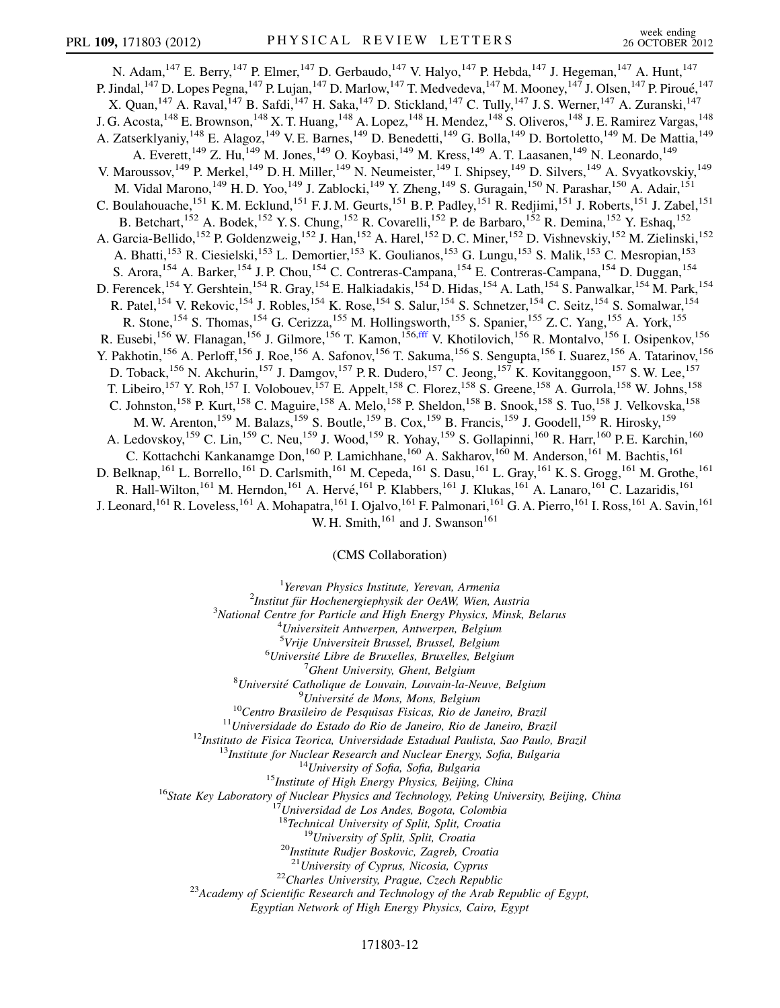<span id="page-11-0"></span>N. Adam, <sup>147</sup> E. Berry, <sup>147</sup> P. Elmer, <sup>147</sup> D. Gerbaudo, <sup>147</sup> V. Halyo, <sup>147</sup> P. Hebda, <sup>147</sup> J. Hegeman, <sup>147</sup> A. Hunt, <sup>147</sup> P. Jindal, <sup>147</sup> D. Lopes Pegna, <sup>147</sup> P. Lujan, <sup>147</sup> D. Marlow, <sup>147</sup> T. Medvedeva, <sup>147</sup> M. Mooney, <sup>147</sup> J. Olsen, <sup>147</sup> P. Piroué, <sup>147</sup> X. Quan,  $^{147}$  A. Raval,  $^{147}$  B. Safdi,  $^{147}$  H. Saka,  $^{147}$  D. Stickland,  $^{147}$  C. Tully,  $^{147}$  J. S. Werner,  $^{147}$  A. Zuranski,  $^{147}$ J. G. Acosta, <sup>148</sup> E. Brownson, <sup>148</sup> X. T. Huang, <sup>148</sup> A. Lopez, <sup>148</sup> H. Mendez, <sup>148</sup> S. Oliveros, <sup>148</sup> J. E. Ramirez Vargas, <sup>148</sup> A. Zatserklyaniy,<sup>148</sup> E. Alagoz,<sup>149</sup> V. E. Barnes,<sup>149</sup> D. Benedetti,<sup>149</sup> G. Bolla,<sup>149</sup> D. Bortoletto,<sup>149</sup> M. De Mattia,<sup>149</sup> A. Everett,<sup>149</sup> Z. Hu,<sup>149</sup> M. Jones,<sup>149</sup> O. Koybasi,<sup>149</sup> M. Kress,<sup>149</sup> A. T. Laasanen,<sup>149</sup> N. Leonardo,<sup>149</sup> V. Maroussov,<sup>149</sup> P. Merkel,<sup>149</sup> D. H. Miller,<sup>149</sup> N. Neumeister,<sup>149</sup> I. Shipsey,<sup>149</sup> D. Silvers,<sup>149</sup> A. Svyatkovskiy,<sup>149</sup> M. Vidal Marono,<sup>149</sup> H.D. Yoo,<sup>149</sup> J. Zablocki,<sup>149</sup> Y. Zheng,<sup>149</sup> S. Guragain,<sup>150</sup> N. Parashar,<sup>150</sup> A. Adair,<sup>151</sup> C. Boulahouache,<sup>151</sup> K. M. Ecklund,<sup>151</sup> F. J. M. Geurts,<sup>151</sup> B. P. Padley,<sup>151</sup> R. Redjimi,<sup>151</sup> J. Roberts,<sup>151</sup> J. Zabel,<sup>151</sup> B. Betchart,<sup>152</sup> A. Bodek,<sup>152</sup> Y. S. Chung,<sup>152</sup> R. Covarelli,<sup>152</sup> P. de Barbaro,<sup>152</sup> R. Demina,<sup>152</sup> Y. Eshaq,<sup>152</sup> A. Garcia-Bellido,<sup>152</sup> P. Goldenzweig,<sup>152</sup> J. Han,<sup>152</sup> A. Harel,<sup>152</sup> D. C. Miner,<sup>152</sup> D. Vishnevskiy,<sup>152</sup> M. Zielinski,<sup>152</sup> A. Bhatti,<sup>153</sup> R. Ciesielski,<sup>153</sup> L. Demortier,<sup>153</sup> K. Goulianos,<sup>153</sup> G. Lungu,<sup>153</sup> S. Malik,<sup>153</sup> C. Mesropian,<sup>153</sup> S. Arora,<sup>154</sup> A. Barker,<sup>154</sup> J. P. Chou,<sup>154</sup> C. Contreras-Campana,<sup>154</sup> E. Contreras-Campana,<sup>154</sup> D. Duggan,<sup>154</sup> D. Ferencek,<sup>154</sup> Y. Gershtein,<sup>154</sup> R. Gray,<sup>154</sup> E. Halkiadakis,<sup>154</sup> D. Hidas,<sup>154</sup> A. Lath,<sup>154</sup> S. Panwalkar,<sup>154</sup> M. Park,<sup>154</sup> R. Patel,<sup>154</sup> V. Rekovic,<sup>154</sup> J. Robles,<sup>154</sup> K. Rose,<sup>154</sup> S. Salur,<sup>154</sup> S. Schnetzer,<sup>154</sup> C. Seitz,<sup>154</sup> S. Somalwar,<sup>154</sup> R. Stone,<sup>154</sup> S. Thomas,<sup>154</sup> G. Cerizza,<sup>155</sup> M. Hollingsworth,<sup>155</sup> S. Spanier,<sup>155</sup> Z. C. Yang,<sup>155</sup> A. York,<sup>155</sup> R. Eusebi,<sup>156</sup> W. Flanagan,<sup>156</sup> J. Gilmore,<sup>156</sup> T. Kamon,<sup>156,[fff](#page-15-34)</sup> V. Khotilovich,<sup>156</sup> R. Montalvo,<sup>156</sup> I. Osipenkov,<sup>156</sup> Y. Pakhotin,<sup>156</sup> A. Perloff,<sup>156</sup> J. Roe,<sup>156</sup> A. Safonov,<sup>156</sup> T. Sakuma,<sup>156</sup> S. Sengupta,<sup>156</sup> I. Suarez,<sup>156</sup> A. Tatarinov,<sup>156</sup> D. Toback,<sup>156</sup> N. Akchurin,<sup>157</sup> J. Damgov,<sup>157</sup> P. R. Dudero,<sup>157</sup> C. Jeong,<sup>157</sup> K. Kovitanggoon,<sup>157</sup> S. W. Lee,<sup>157</sup> T. Libeiro,<sup>157</sup> Y. Roh,<sup>157</sup> I. Volobouev,<sup>157</sup> E. Appelt,<sup>158</sup> C. Florez,<sup>158</sup> S. Greene,<sup>158</sup> A. Gurrola,<sup>158</sup> W. Johns,<sup>158</sup> C. Johnston,<sup>158</sup> P. Kurt,<sup>158</sup> C. Maguire,<sup>158</sup> A. Melo,<sup>158</sup> P. Sheldon,<sup>158</sup> B. Snook,<sup>158</sup> S. Tuo,<sup>158</sup> J. Velkovska,<sup>158</sup> M. W. Arenton,<sup>159</sup> M. Balazs,<sup>159</sup> S. Boutle,<sup>159</sup> B. Cox,<sup>159</sup> B. Francis,<sup>159</sup> J. Goodell,<sup>159</sup> R. Hirosky,<sup>159</sup> A. Ledovskoy, <sup>159</sup> C. Lin, <sup>159</sup> C. Neu, <sup>159</sup> J. Wood, <sup>159</sup> R. Yohay, <sup>159</sup> S. Gollapinni, <sup>160</sup> R. Harr, <sup>160</sup> P. E. Karchin, <sup>160</sup> C. Kottachchi Kankanamge Don,<sup>160</sup> P. Lamichhane,<sup>160</sup> A. Sakharov,<sup>160</sup> M. Anderson,<sup>161</sup> M. Bachtis,<sup>161</sup> D. Belknap, <sup>161</sup> L. Borrello, <sup>161</sup> D. Carlsmith, <sup>161</sup> M. Cepeda, <sup>161</sup> S. Dasu, <sup>161</sup> L. Gray, <sup>161</sup> K. S. Grogg, <sup>161</sup> M. Grothe, <sup>161</sup> R. Hall-Wilton,<sup>161</sup> M. Herndon,<sup>161</sup> A. Hervé,<sup>161</sup> P. Klabbers,<sup>161</sup> J. Klukas,<sup>161</sup> A. Lanaro,<sup>161</sup> C. Lazaridis,<sup>161</sup> J. Leonard,<sup>161</sup> R. Loveless,<sup>161</sup> A. Mohapatra,<sup>161</sup> I. Ojalvo,<sup>161</sup> F. Palmonari,<sup>161</sup> G. A. Pierro,<sup>161</sup> I. Ross,<sup>161</sup> A. Savin,<sup>161</sup> W. H. Smith, $^{161}$  and J. Swanson $^{161}$ 

(CMS Collaboration)

<sup>1</sup>Yerevan Physics Institute, Yerevan, Armenia<sup>2</sup>Institut für Hockeneraignbysik der OgAW Wien

 $2$ Institut für Hochenergiephysik der OeAW, Wien, Austria

 $3$ National Centre for Particle and High Energy Physics, Minsk, Belarus

 $^{4}$ Universiteit Antwerpen, Antwerpen, Belgium

<sup>5</sup>Vrije Universiteit Brussel, Brussel, Belgium<br><sup>6</sup>Université Libre de Bruxelles, Bruxelles, Belgi

 $6$ Université Libre de Bruxelles, Bruxelles, Belgium

 $^7$ Ghent University, Ghent, Belgium

 ${}^{8}$ Université Catholique de Louvain, Louvain-la-Neuve, Belgium

<sup>9</sup>Université de Mons, Mons, Belgium

<sup>9</sup>Université de Mons, Mons, Belgium<br><sup>10</sup>Centro Brasileiro de Pesquisas Fisicas, Rio de Janeiro, Brazil<br><sup>11</sup>Universidade do Estado do Rio de Janeiro, Rio de Janeiro, Brazil<br><sup>12</sup>Instituto de Fisica Teorica, Universidade Es

<sup>17</sup>Universidad de Los Andes, Bogota, Colombia<br><sup>18</sup>Technical University of Split, Split, Croatia<br><sup>19</sup>University of Split, Split, Croatia<br><sup>20</sup>Institute Rudjer Boskovic, Zagreb, Croatia<br><sup>21</sup>University of Cyprus, Nicosia, Cy

<sup>22</sup>Charles University, Prague, Czech Republic <sup>23</sup>Academy of Scientific Research and Technology of the Arab Republic of Egypt,

Egyptian Network of High Energy Physics, Cairo, Egypt

#### 171803-12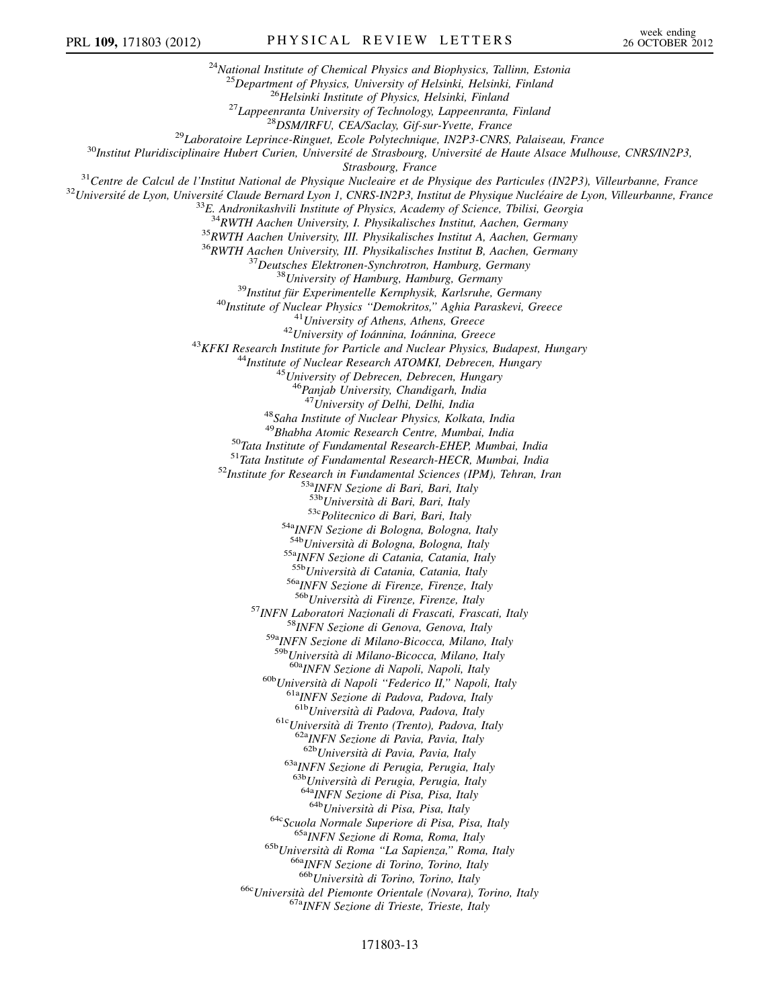<sup>24</sup>National Institute of Chemical Physics and Biophysics, Tallinn, Estonia <sup>25</sup>Department of Physics, University of Helsinki, Helsinki, Finland<br><sup>26</sup>Helsinki Institute of Physics, Helsinki, Finland<br><sup>27</sup>Lappeenranta University of Technology, Lappeenranta, Finland<br><sup>28</sup>DSM/IRFU, CEA/Saclay, Gif-sur-Strasbourg, France<br><sup>31</sup>Centre de Calcul de l'Institut National de Physique Nucleaire et de Physique des Particules (IN2P3), Villeurbanne, France<br><sup>32</sup>Université de Lyon, Université Claude Bernard Lyon 1, CNRS-IN2P3, Instit <sup>34</sup>RWTH Aachen University, I. Physikalisches Institut, Aachen, Germany<br><sup>35</sup>RWTH Aachen University, III. Physikalisches Institut A, Aachen, Germany<br><sup>36</sup>RWTH Aachen University, III. Physikalisches Institut B, Aachen, Germa <sup>45</sup>University of Debrecen, Debrecen, Hungary<br><sup>46</sup>Panjab University, Chandigarh, India<br><sup>47</sup>University of Delhi, Delhi, India <sup>48</sup>Saha Institute of Nuclear Physics, Kolkata, India<br><sup>49</sup>Bhabha Atomic Research Centre, Mumbai, India <sup>50</sup>Tata Institute of Fundamental Research-EHEP, Mumbai, India<br><sup>51</sup>Tata Institute of Fundamental Research-HECR, Mumbai, India<br><sup>52</sup>Institute for Research in Fundamental Sciences (IPM), Tehran, Iran<br><sup>52</sup>Institute for Resear <sup>53c</sup>Politecnico di Bari, Bari, Italy<br><sup>54a</sup>INFN Sezione di Bologna, Bologna, Italy<br><sup>54b</sup>Università di Bologna, Bologna, Italy <sup>55a</sup>INFN Sezione di Catania, Catania, Italy<br><sup>55b</sup>Università di Catania, Catania, Italy <sup>56a</sup>INFN Sezione di Firenze, Firenze, Italy<br><sup>56b</sup>Università di Firenze, Firenze, Italy <sup>57</sup>INFN Laboratori Nazionali di Frascati, Frascati, Italy <sup>58</sup>INFN Sezione di Genova, Genova, Italy <sup>59a</sup>INFN Sezione di Milano-Bicocca, Milano, Italy <sup>59b</sup>Università di Milano-Bicocca, Milano, Italy <sup>60a</sup>INFN Sezione di Napoli, Napoli, Italy <sup>60b</sup>Università di Napoli "Federico II," Napoli, Italy <sup>61a</sup>INFN Sezione di Padova, Padova, Italy <sup>61b</sup>Università di Padova, Padova, Italy <sup>61c</sup>Università di Trento (Trento), Padova, Italy <sup>62a</sup>INFN Sezione di Pavia, Pavia, Italy <sup>62b</sup>Università di Pavia, Pavia, Italy  $63a$ <sub>INFN</sub> Sezione di Perugia, Perugia, Italy  $63b$ <sub>Università</sub> di Perugia, Perugia, Italy <sup>64a</sup>INFN Sezione di Pisa, Pisa, Italy 64b<sub>Università</sub> di Pisa, Pisa, Italy <sup>64c</sup>Scuola Normale Superiore di Pisa, Pisa, Italy <sup>65b</sup>Università di Roma "La Sapienza," Roma, Italy <sup>66b</sup>Università di Torino, Torino, Italy <sup>66b</sup>Università di Torino, Torino, Italy <sup>66c</sup>Università del Piemonte Orientale (Novara), Torino, Italy <sup>67a</sup>INFN Sezione di Trieste, Trieste, Italy

## 171803-13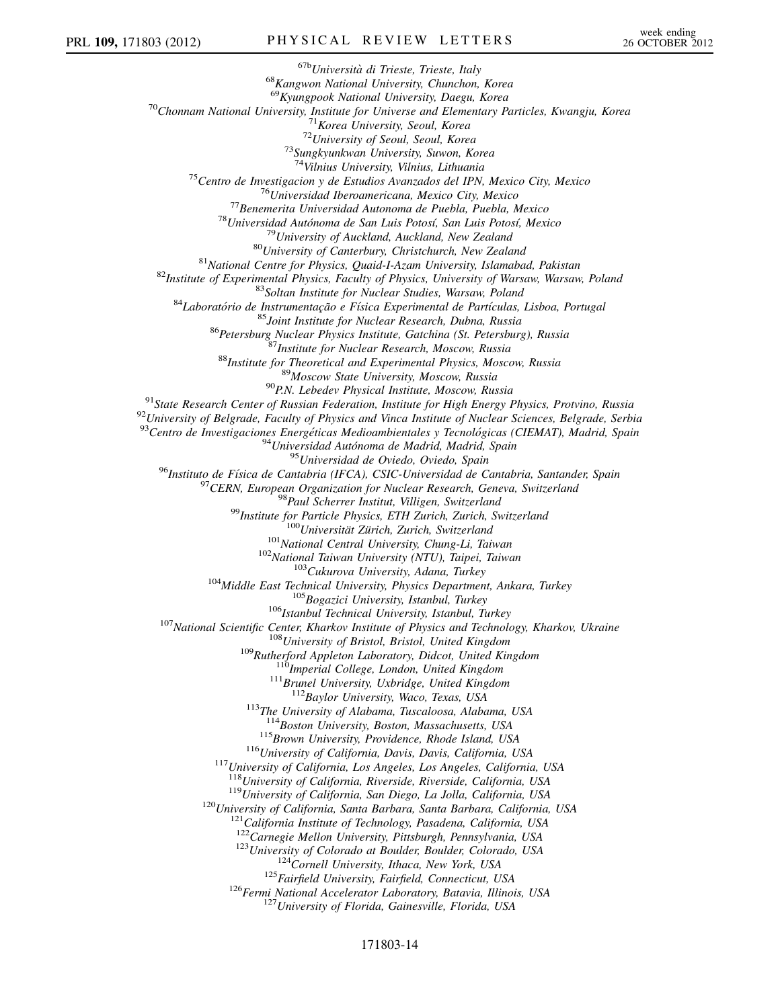$^{67b}$ Università di Trieste, Trieste, Italy  $^{68}$ Kangwon National University, Chunchon, Korea<br> $^{69}$ Kyungpook National University, Daegu, Korea <sup>70</sup>Chonnam National University, Institute for Universe and Elementary Particles, Kwangju, Korea<br><sup>71</sup>Korea University, Seoul, Korea<br><sup>72</sup>University of Seoul, Seoul, Korea<br><sup>73</sup>Sungkyunkwan University, Suwon, Korea<br><sup>74</sup>Vilni <sup>74</sup>Vilnius University, Vilnius, Lithuania<br>
<sup>74</sup>Vilnius University, Vilnius, Lithuania<br>
<sup>75</sup>Centro de Inversitala alteroamericana, Mexico City, Mexico<br>
<sup>77</sup>Uiniversitala deroamericana, Mexico City, Mexico<br>
<sup>77</sup>Uiniversity  $\begin{small} & ^{93}\text{Centro de Investigaciones Energéticas Medioambientales y Tecnológicas (CIEMAT), Madrid, Spain \\ & ^{94}\text{Unversidad Autónoma de Madrid, Madrid, Spain} \\ & ^{95}\text{Universidad Autónoma de Madrid, Badin} \\ & ^{96}\text{Instituto de Física de Cantabria (IFCA), CSIC-Universidad de Cantabria, Santander, Spain} \\ & ^{97}\text{CERN, European Organization for Nuclear Research, Geneva, Switzerland} \\ & ^{98}\text{Final Scheer Institut, William, Switzerland} \\ & ^{99}\text{Institute for Particle Physics, ETH Zurich, Switzerland} \\ & ^{90}\text{Universität Zürich, Zurich, Switzerland} \\ & ^{100}\text{$ <sup>111</sup>Brunel University, Uxbridge, United Kingdom<br><sup>112</sup>Baylor University, Waco, Texas, USA<br><sup>113</sup>The University of Alabama, Tuscaloosa, Alabama, USA<br><sup>114</sup>Boston University, Boston, Massachusetts, USA <sup>115</sup>Brown University, Providence, Rhode Island, USA<br><sup>116</sup>University of California, Davis, Davis, California, USA<br><sup>117</sup>University of California, Los Angeles, Los Angeles, California, USA<br><sup>118</sup>University of California, Riv <sup>119</sup>University of California, San Diego, La Jolla, California, USA<br><sup>120</sup>University of California, Santa Barbara, Santa Barbara, California, USA<br><sup>121</sup>California Institute of Technology, Pasadena, California, USA<br><sup>122</sup>Carn <sup>123</sup>University of Colorado at Boulder, Boulder, Colorado, USA<br><sup>124</sup>Cornell University, Ithaca, New York, USA<br><sup>125</sup>Fairfield University, Fairfield, Connecticut, USA<br><sup>126</sup>Fermi National Accelerator Laboratory, Batavia, Ill

### 171803-14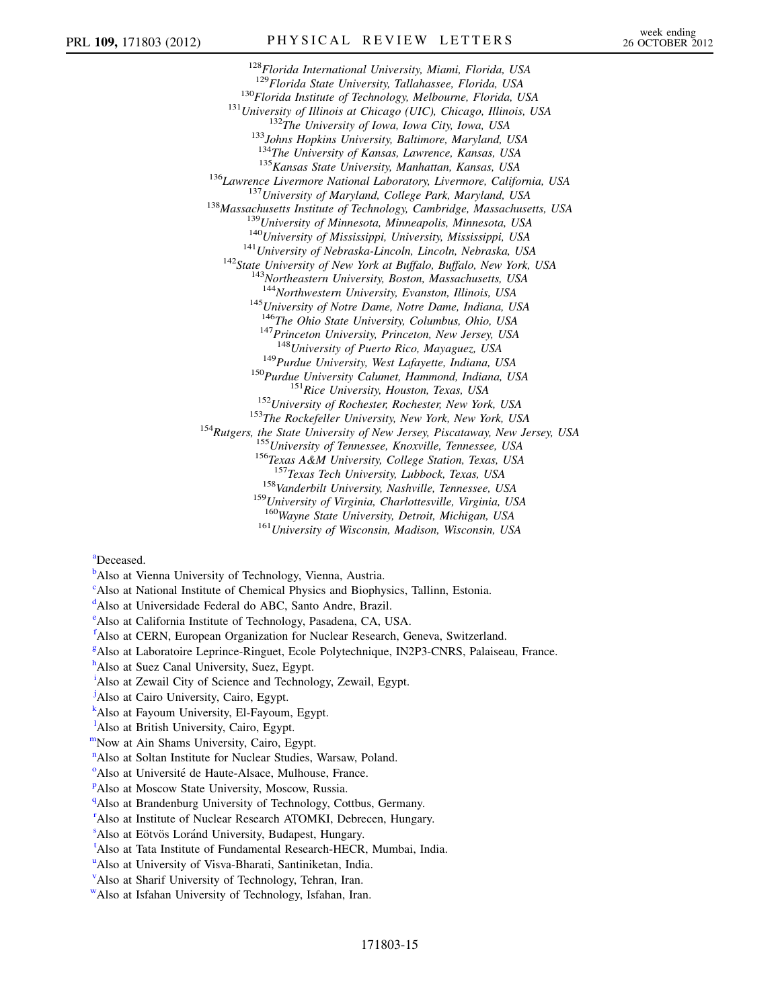<sup>128</sup>Florida International University, Miami, Florida, USA<br><sup>129</sup>Florida State University, Tallahassee, Florida, USA <sup>130</sup>Florida Institute of Technology, Melbourne, Florida, USA<br><sup>131</sup>University of Illinois at Chicago (UIC), Chicago, Illinois, USA<br><sup>132</sup>The University of Iowa, Iowa City, Iowa, USA<br><sup>133</sup>Johns Hopkins University, Baltimore <sup>135</sup> Kansas State University, Manhattan, Kansas, USA<br><sup>136</sup> Lawrence Livermore National Laboratory, Livermore, California, USA<br><sup>137</sup> University of Maryland, College Park, Maryland, USA<br><sup>138</sup> Massachusetts Institute of Tec <sup>145</sup>University of Notre Dame, Notre Dame, Indiana, USA  $146$ The Ohio State University, Columbus, Ohio, USA <sup>147</sup>Princeton University, Princeton, New Jersey, USA <sup>148</sup>University of Puerto Rico, Mayaguez, USA <sup>149</sup>Purdue University, West Lafayette, Indiana, USA<br><sup>150</sup>Purdue University Calumet, Hammond, Indiana, USA<br><sup>151</sup>Rice University, Houston, Texas, USA<br><sup>152</sup>University of Rochester, Rochester, New York, USA<br><sup>153</sup>The Rockefel  $158$ Vanderbilt University, Nashville, Tennessee, USA  $159$ University of Virginia, Charlottesville, Virginia, USA <sup>160</sup>Wayne State University, Detroit, Michigan, USA<br><sup>161</sup>University of Wisconsin, Madison, Wisconsin, USA

<span id="page-14-1"></span>[a](#page-5-27)Deceased.

<span id="page-14-0"></span>**[b](#page-5-28)**Also at Vienna University of Technology, Vienna, Austria.

<span id="page-14-2"></span><sup>[c](#page-5-29)</sup>Also at National Institute of Chemical Physics and Biophysics, Tallinn, Estonia.

<span id="page-14-3"></span><sup>[d](#page-5-30)</sup>Also at Universidade Federal do ABC, Santo Andre, Brazil.

<span id="page-14-4"></span>[e](#page-5-31) Also at California Institute of Technology, Pasadena, CA, USA.

<span id="page-14-5"></span>[f](#page-5-32) Also at CERN, European Organization for Nuclear Research, Geneva, Switzerland.

<span id="page-14-6"></span><sup>[g](#page-6-0)</sup>Also at Laboratoire Leprince-Ringuet, Ecole Polytechnique, IN2P3-CNRS, Palaiseau, France.

<span id="page-14-7"></span><sup>[h](#page-6-1)</sup>Also at Suez Canal University, Suez, Egypt.

<span id="page-14-8"></span><sup>[i](#page-6-1)</sup>Also at Zewail City of Science and Technology, Zewail, Egypt.

<span id="page-14-9"></span><sup>[j](#page-6-1)</sup>Also at Cairo University, Cairo, Egypt.

<span id="page-14-10"></span>[k](#page-6-2) Also at Fayoum University, El-Fayoum, Egypt.

<span id="page-14-11"></span><sup>1</sup>A[l](#page-6-2)so at British University, Cairo, Egypt.

<span id="page-14-13"></span><span id="page-14-12"></span>[mN](#page-6-2)ow at Ain Shams University, Cairo, Egypt.

<sup>[n](#page-6-3)</sup>Also at Soltan Institute for Nuclear Studies, Warsaw, Poland.

<span id="page-14-14"></span><sup>[o](#page-6-4)</sup>Also at Université de Haute-Alsace, Mulhouse, France.

<span id="page-14-15"></span>PAlso at Moscow State University, Moscow, Russia.

<span id="page-14-16"></span><sup>[q](#page-6-6)</sup>Also at Brandenburg University of Technology, Cottbus, Germany.

<span id="page-14-17"></span><sup>[r](#page-7-0)</sup>Also at Institute of Nuclear Research ATOMKI, Debrecen, Hungary.

<span id="page-14-18"></span><[s](#page-7-0)up>s</sup>Also at Eötvös Loránd University, Budapest, Hungary.

<span id="page-14-19"></span>[t](#page-7-1) Also at Tata Institute of Fundamental Research-HECR, Mumbai, India.

<span id="page-14-20"></span><s[u](#page-7-2)p>u</sup>Also at University of Visva-Bharati, Santiniketan, India.

<span id="page-14-21"></span><sup>[v](#page-7-3)</sup>Also at Sharif University of Technology, Tehran, Iran.

<span id="page-14-22"></span>[wA](#page-7-4)lso at Isfahan University of Technology, Isfahan, Iran.